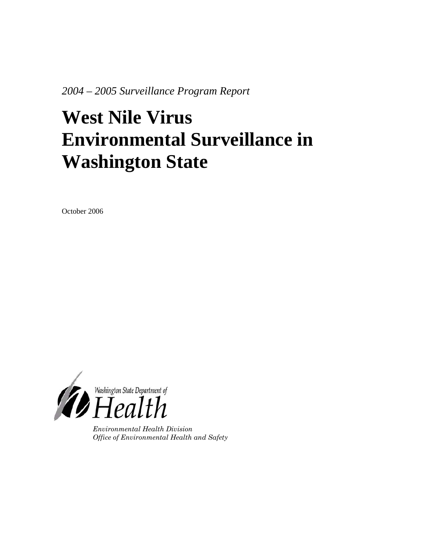*2004 – 2005 Surveillance Program Report* 

# **West Nile Virus Environmental Surveillance in Washington State**

October 2006



*Environmental Health Division Office of Environmental Health and Safety*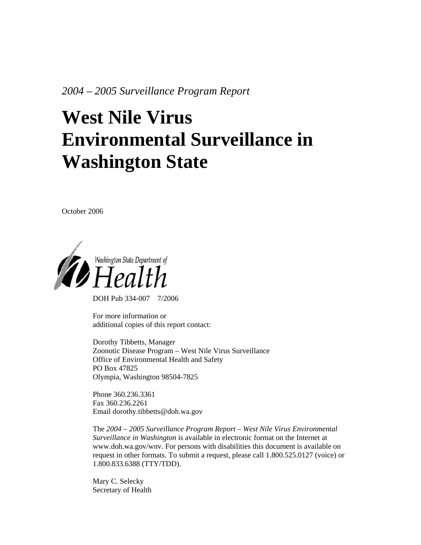*2004 – 2005 Surveillance Program Report* 

# **West Nile Virus Environmental Surveillance in Washington State**

October 2006



DOH Pub 334-007 7/2006

For more information or additional copies of this report contact:

Dorothy Tibbetts, Manager Zoonotic Disease Program – West Nile Virus Surveillance Office of Environmental Health and Safety PO Box 47825 Olympia, Washington 98504-7825

Phone 360.236.3361 Fax 360.236.2261 Email dorothy.tibbetts@doh.wa.gov

The *2004 – 2005 Surveillance Program Report – West Nile Virus Environmental Surveillance in Washington* is available in electronic format on the Internet at www.doh.wa.gov/wnv. For persons with disabilities this document is available on request in other formats. To submit a request, please call 1.800.525.0127 (voice) or 1.800.833.6388 (TTY/TDD).

Mary C. Selecky Secretary of Health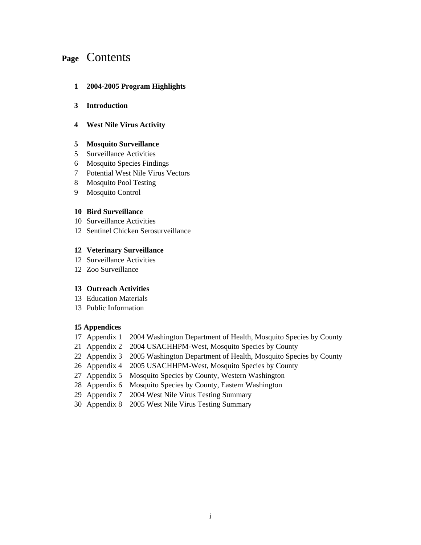# **Page** Contents

#### **1 2004-2005 Program Highlights**

#### **3 Introduction**

#### **4 West Nile Virus Activity**

#### **5 Mosquito Surveillance**

- 5 Surveillance Activities
- 6 Mosquito Species Findings
- 7 Potential West Nile Virus Vectors
- 8 Mosquito Pool Testing
- 9 Mosquito Control

#### **10 Bird Surveillance**

- 10 Surveillance Activities
- 12 Sentinel Chicken Serosurveillance

#### **12 Veterinary Surveillance**

- 12 Surveillance Activities
- 12 Zoo Surveillance

#### **13 Outreach Activities**

- 13 Education Materials
- 13 Public Information

#### **15 Appendices**

- 17 Appendix 1 2004 Washington Department of Health, Mosquito Species by County
- 21 Appendix 2 2004 USACHHPM-West, Mosquito Species by County
- 22 Appendix 3 2005 Washington Department of Health, Mosquito Species by County
- 26 Appendix 4 2005 USACHHPM-West, Mosquito Species by County
- 27 Appendix 5 Mosquito Species by County, Western Washington
- 28 Appendix 6 Mosquito Species by County, Eastern Washington
- 29 Appendix 7 2004 West Nile Virus Testing Summary
- 30 Appendix 8 2005 West Nile Virus Testing Summary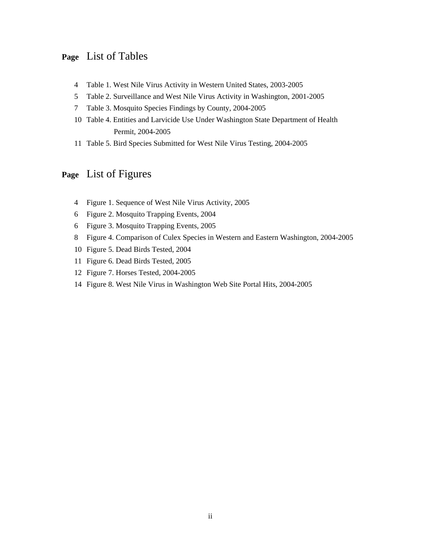## **Page** List of Tables

- 4 Table 1. West Nile Virus Activity in Western United States, 2003-2005
- 5 Table 2. Surveillance and West Nile Virus Activity in Washington, 2001-2005
- 7 Table 3. Mosquito Species Findings by County, 2004-2005
- 10 Table 4. Entities and Larvicide Use Under Washington State Department of Health Permit, 2004-2005
- 11 Table 5. Bird Species Submitted for West Nile Virus Testing, 2004-2005

# **Page** List of Figures

- 4 Figure 1. Sequence of West Nile Virus Activity, 2005
- 6 Figure 2. Mosquito Trapping Events, 2004
- 6 Figure 3. Mosquito Trapping Events, 2005
- 8 Figure 4. Comparison of Culex Species in Western and Eastern Washington, 2004-2005
- 10 Figure 5. Dead Birds Tested, 2004
- 11 Figure 6. Dead Birds Tested, 2005
- 12 Figure 7. Horses Tested, 2004-2005
- 14 Figure 8. West Nile Virus in Washington Web Site Portal Hits, 2004-2005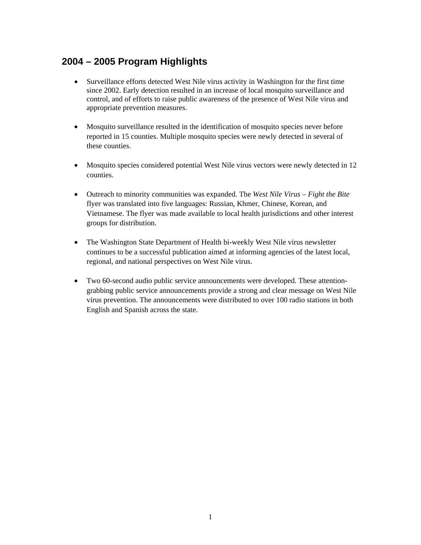# **2004 – 2005 Program Highlights**

- Surveillance efforts detected West Nile virus activity in Washington for the first time since 2002. Early detection resulted in an increase of local mosquito surveillance and control, and of efforts to raise public awareness of the presence of West Nile virus and appropriate prevention measures.
- Mosquito surveillance resulted in the identification of mosquito species never before reported in 15 counties. Multiple mosquito species were newly detected in several of these counties.
- Mosquito species considered potential West Nile virus vectors were newly detected in 12 counties.
- Outreach to minority communities was expanded. The *West Nile Virus Fight the Bite* flyer was translated into five languages: Russian, Khmer, Chinese, Korean, and Vietnamese. The flyer was made available to local health jurisdictions and other interest groups for distribution.
- The Washington State Department of Health bi-weekly West Nile virus newsletter continues to be a successful publication aimed at informing agencies of the latest local, regional, and national perspectives on West Nile virus.
- Two 60-second audio public service announcements were developed. These attentiongrabbing public service announcements provide a strong and clear message on West Nile virus prevention. The announcements were distributed to over 100 radio stations in both English and Spanish across the state.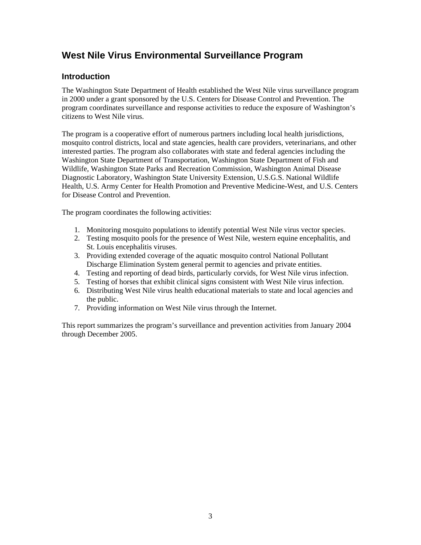# **West Nile Virus Environmental Surveillance Program**

## **Introduction**

The Washington State Department of Health established the West Nile virus surveillance program in 2000 under a grant sponsored by the U.S. Centers for Disease Control and Prevention. The program coordinates surveillance and response activities to reduce the exposure of Washington's citizens to West Nile virus.

The program is a cooperative effort of numerous partners including local health jurisdictions, mosquito control districts, local and state agencies, health care providers, veterinarians, and other interested parties. The program also collaborates with state and federal agencies including the Washington State Department of Transportation, Washington State Department of Fish and Wildlife, Washington State Parks and Recreation Commission, Washington Animal Disease Diagnostic Laboratory, Washington State University Extension, U.S.G.S. National Wildlife Health, U.S. Army Center for Health Promotion and Preventive Medicine-West, and U.S. Centers for Disease Control and Prevention.

The program coordinates the following activities:

- 1. Monitoring mosquito populations to identify potential West Nile virus vector species.
- 2. Testing mosquito pools for the presence of West Nile, western equine encephalitis, and St. Louis encephalitis viruses.
- 3. Providing extended coverage of the aquatic mosquito control National Pollutant Discharge Elimination System general permit to agencies and private entities.
- 4. Testing and reporting of dead birds, particularly corvids, for West Nile virus infection.
- 5. Testing of horses that exhibit clinical signs consistent with West Nile virus infection.
- 6. Distributing West Nile virus health educational materials to state and local agencies and the public.
- 7. Providing information on West Nile virus through the Internet.

This report summarizes the program's surveillance and prevention activities from January 2004 through December 2005.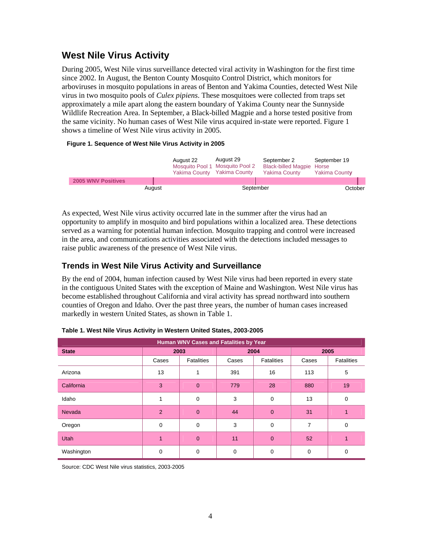# **West Nile Virus Activity**

During 2005, West Nile virus surveillance detected viral activity in Washington for the first time since 2002. In August, the Benton County Mosquito Control District, which monitors for arboviruses in mosquito populations in areas of Benton and Yakima Counties, detected West Nile virus in two mosquito pools of *Culex pipiens*. These mosquitoes were collected from traps set approximately a mile apart along the eastern boundary of Yakima County near the Sunnyside Wildlife Recreation Area. In September, a Black-billed Magpie and a horse tested positive from the same vicinity. No human cases of West Nile virus acquired in-state were reported. Figure 1 shows a timeline of West Nile virus activity in 2005.

#### **Figure 1. Sequence of West Nile Virus Activity in 2005**

|                           |        | August 22 | August 29<br>Mosquito Pool 1 Mosquito Pool 2<br>Yakima County Yakima County | September 2<br><b>Black-billed Magpie Horse</b><br><b>Yakima County</b> | September 19<br><b>Yakima County</b> |  |
|---------------------------|--------|-----------|-----------------------------------------------------------------------------|-------------------------------------------------------------------------|--------------------------------------|--|
| <b>2005 WNV Positives</b> |        |           |                                                                             |                                                                         |                                      |  |
|                           | August |           | September                                                                   |                                                                         | October                              |  |

As expected, West Nile virus activity occurred late in the summer after the virus had an opportunity to amplify in mosquito and bird populations within a localized area. These detections served as a warning for potential human infection. Mosquito trapping and control were increased in the area, and communications activities associated with the detections included messages to raise public awareness of the presence of West Nile virus.

## **Trends in West Nile Virus Activity and Surveillance**

By the end of 2004, human infection caused by West Nile virus had been reported in every state in the contiguous United States with the exception of Maine and Washington. West Nile virus has become established throughout California and viral activity has spread northward into southern counties of Oregon and Idaho. Over the past three years, the number of human cases increased markedly in western United States, as shown in Table 1.

| Human WNV Cases and Fatalities by Year |                |                   |          |                |          |            |  |
|----------------------------------------|----------------|-------------------|----------|----------------|----------|------------|--|
| <b>State</b>                           | 2004<br>2003   |                   |          | 2005           |          |            |  |
|                                        | Cases          | <b>Fatalities</b> | Cases    | Fatalities     |          | Fatalities |  |
| Arizona                                | 13             |                   | 391      | 16             | 113      | 5          |  |
| California                             | 3              | $\mathbf{0}$      | 779      | 28             | 880      | 19         |  |
| Idaho                                  |                | 0                 | 3        | 0              | 13       | 0          |  |
| <b>Nevada</b>                          | $\overline{2}$ | $\overline{0}$    | 44       | $\overline{0}$ | 31       |            |  |
| Oregon                                 | 0              | 0                 | 3        | 0              | 7        | 0          |  |
| <b>Utah</b>                            | 1              | $\overline{0}$    | 11       | $\overline{0}$ | 52       | 1          |  |
| Washington                             | $\Omega$       | 0                 | $\Omega$ | 0              | $\Omega$ | 0          |  |

**Table 1. West Nile Virus Activity in Western United States, 2003-2005** 

Source: CDC West Nile virus statistics, 2003-2005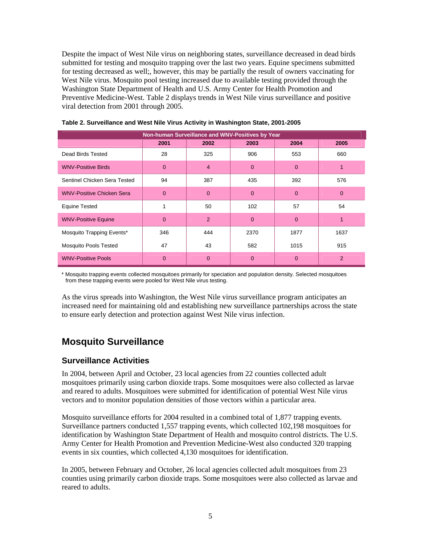Despite the impact of West Nile virus on neighboring states, surveillance decreased in dead birds submitted for testing and mosquito trapping over the last two years. Equine specimens submitted for testing decreased as well;, however, this may be partially the result of owners vaccinating for West Nile virus. Mosquito pool testing increased due to available testing provided through the Washington State Department of Health and U.S. Army Center for Health Promotion and Preventive Medicine-West. Table 2 displays trends in West Nile virus surveillance and positive viral detection from 2001 through 2005.

| Non-human Surveillance and WNV-Positives by Year |              |                |              |              |          |  |  |
|--------------------------------------------------|--------------|----------------|--------------|--------------|----------|--|--|
|                                                  | 2001         | 2002           | 2003         | 2004         | 2005     |  |  |
| Dead Birds Tested                                | 28           | 325            | 906          | 553          | 660      |  |  |
| <b>WNV-Positive Birds</b>                        | $\mathbf{0}$ | 4              | $\mathbf{0}$ | $\mathbf{0}$ |          |  |  |
| Sentinel Chicken Sera Tested                     | 94           | 387            | 435          | 392          | 576      |  |  |
| <b>WNV-Positive Chicken Sera</b>                 | $\Omega$     | $\Omega$       | $\Omega$     | $\Omega$     | $\Omega$ |  |  |
| <b>Equine Tested</b>                             | 1            | 50             | 102          | 57           | 54       |  |  |
| <b>WNV-Positive Equine</b>                       | $\mathbf{0}$ | 2              | $\Omega$     | $\Omega$     | 1        |  |  |
| Mosquito Trapping Events*                        | 346          | 444            | 2370         | 1877         | 1637     |  |  |
| <b>Mosquito Pools Tested</b>                     | 47           | 43             | 582          | 1015         | 915      |  |  |
| <b>WNV-Positive Pools</b>                        | $\mathbf{0}$ | $\overline{0}$ | $\Omega$     | $\Omega$     | 2        |  |  |

|  | Table 2. Surveillance and West Nile Virus Activity in Washington State, 2001-2005 |
|--|-----------------------------------------------------------------------------------|
|--|-----------------------------------------------------------------------------------|

\* Mosquito trapping events collected mosquitoes primarily for speciation and population density. Selected mosquitoes from these trapping events were pooled for West Nile virus testing.

As the virus spreads into Washington, the West Nile virus surveillance program anticipates an increased need for maintaining old and establishing new surveillance partnerships across the state to ensure early detection and protection against West Nile virus infection.

# **Mosquito Surveillance**

## **Surveillance Activities**

In 2004, between April and October, 23 local agencies from 22 counties collected adult mosquitoes primarily using carbon dioxide traps. Some mosquitoes were also collected as larvae and reared to adults. Mosquitoes were submitted for identification of potential West Nile virus vectors and to monitor population densities of those vectors within a particular area.

Mosquito surveillance efforts for 2004 resulted in a combined total of 1,877 trapping events. Surveillance partners conducted 1,557 trapping events, which collected 102,198 mosquitoes for identification by Washington State Department of Health and mosquito control districts. The U.S. Army Center for Health Promotion and Prevention Medicine-West also conducted 320 trapping events in six counties, which collected 4,130 mosquitoes for identification.

In 2005, between February and October, 26 local agencies collected adult mosquitoes from 23 counties using primarily carbon dioxide traps. Some mosquitoes were also collected as larvae and reared to adults.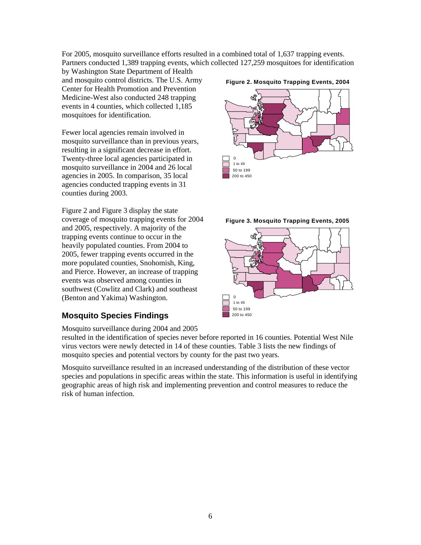For 2005, mosquito surveillance efforts resulted in a combined total of 1,637 trapping events. Partners conducted 1,389 trapping events, which collected 127,259 mosquitoes for identification

by Washington State Department of Health and mosquito control districts. The U.S. Army Center for Health Promotion and Prevention Medicine-West also conducted 248 trapping events in 4 counties, which collected 1,185 mosquitoes for identification.

Fewer local agencies remain involved in mosquito surveillance than in previous years, resulting in a significant decrease in effort. Twenty-three local agencies participated in mosquito surveillance in 2004 and 26 local agencies in 2005. In comparison, 35 local agencies conducted trapping events in 31 counties during 2003.

Figure 2 and Figure 3 display the state coverage of mosquito trapping events for 2004 and 2005, respectively. A majority of the trapping events continue to occur in the heavily populated counties. From 2004 to 2005, fewer trapping events occurred in the more populated counties, Snohomish, King, and Pierce. However, an increase of trapping events was observed among counties in southwest (Cowlitz and Clark) and southeast (Benton and Yakima) Washington.

## **Mosquito Species Findings**

Mosquito surveillance during 2004 and 2005

resulted in the identification of species never before reported in 16 counties. Potential West Nile virus vectors were newly detected in 14 of these counties. Table 3 lists the new findings of mosquito species and potential vectors by county for the past two years.

Mosquito surveillance resulted in an increased understanding of the distribution of these vector species and populations in specific areas within the state. This information is useful in identifying geographic areas of high risk and implementing prevention and control measures to reduce the risk of human infection.







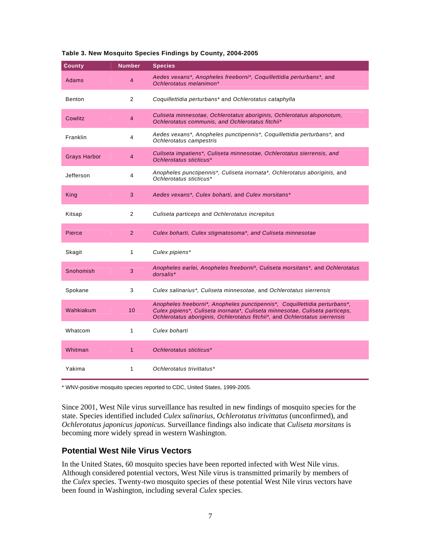| <b>County</b>                                                   | <b>Number</b>                                                                                           | <b>Species</b>                                                                                                                                                                                                                            |
|-----------------------------------------------------------------|---------------------------------------------------------------------------------------------------------|-------------------------------------------------------------------------------------------------------------------------------------------------------------------------------------------------------------------------------------------|
| Adams                                                           | 4                                                                                                       | Aedes vexans*, Anopheles freeborni*, Coquillettidia perturbans*, and<br>Ochlerotatus melanimon*                                                                                                                                           |
| <b>Benton</b>                                                   | 2                                                                                                       | Coquillettidia perturbans* and Ochlerotatus cataphylla                                                                                                                                                                                    |
| Cowlitz                                                         | 4                                                                                                       | Culiseta minnesotae, Ochlerotatus aboriginis, Ochlerotatus aloponotum,<br>Ochlerotatus communis, and Ochlerotatus fitchii*                                                                                                                |
| Franklin                                                        | Aedes vexans*, Anopheles punctipennis*, Coquillettidia perturbans*, and<br>4<br>Ochlerotatus campestris |                                                                                                                                                                                                                                           |
| <b>Grays Harbor</b>                                             | 4                                                                                                       | Culiseta impatiens*, Culiseta minnesotae, Ochlerotatus sierrensis, and<br>Ochlerotatus sticticus*                                                                                                                                         |
| Jefferson<br>4<br>Ochlerotatus sticticus*                       |                                                                                                         | Anopheles punctipennis*, Culiseta inornata*, Ochlerotatus aboriginis, and                                                                                                                                                                 |
| Aedes vexans*, Culex boharti, and Culex morsitans*<br>King<br>3 |                                                                                                         |                                                                                                                                                                                                                                           |
| Kitsap                                                          | 2                                                                                                       | Culiseta particeps and Ochlerotatus increpitus                                                                                                                                                                                            |
| Pierce                                                          | $\overline{2}$                                                                                          | Culex boharti, Culex stigmatosoma*, and Culiseta minnesotae                                                                                                                                                                               |
| Skagit                                                          | 1                                                                                                       | Culex pipiens*                                                                                                                                                                                                                            |
| Snohomish                                                       | 3                                                                                                       | Anopheles earlei, Anopheles freeborni*, Culiseta morsitans*, and Ochlerotatus<br>dorsalis*                                                                                                                                                |
| Spokane                                                         | 3                                                                                                       | Culex salinarius*, Culiseta minnesotae, and Ochlerotatus sierrensis                                                                                                                                                                       |
| Wahkiakum                                                       | 10                                                                                                      | Anopheles freeborni*, Anopheles punctipennis*, Coquillettidia perturbans*,<br>Culex pipiens*, Culiseta inornata*, Culiseta minnesotae, Culiseta particeps,<br>Ochlerotatus aboriginis, Ochlerotatus fitchii*, and Ochlerotatus sierrensis |
| Whatcom                                                         | 1                                                                                                       | Culex boharti                                                                                                                                                                                                                             |
| Whitman                                                         | 1                                                                                                       | Ochlerotatus sticticus*                                                                                                                                                                                                                   |
| Yakima                                                          | 1                                                                                                       | Ochlerotatus trivittatus*                                                                                                                                                                                                                 |

#### **Table 3. New Mosquito Species Findings by County, 2004-2005**

\* WNV-positive mosquito species reported to CDC, United States, 1999-2005.

Since 2001, West Nile virus surveillance has resulted in new findings of mosquito species for the state. Species identified included *Culex salinarius, Ochlerotatus trivittatus* (unconfirmed), and *Ochlerotatus japonicus japonicus.* Surveillance findings also indicate that *Culiseta morsitans* is becoming more widely spread in western Washington.

## **Potential West Nile Virus Vectors**

In the United States, 60 mosquito species have been reported infected with West Nile virus. Although considered potential vectors, West Nile virus is transmitted primarily by members of the *Culex* species. Twenty-two mosquito species of these potential West Nile virus vectors have been found in Washington, including several *Culex* species.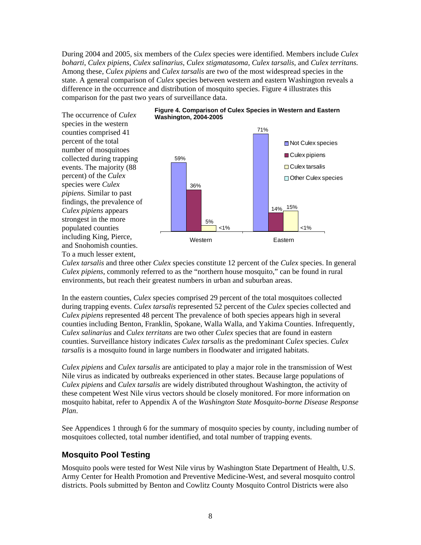During 2004 and 2005, six members of the *Culex* species were identified. Members include *Culex boharti*, *Culex pipiens*, *Culex salinarius, Culex stigmatasoma, Culex tarsalis,* and *Culex territans.* Among these, *Culex pipiens* and *Culex tarsalis* are two of the most widespread species in the state. A general comparison of *Culex* species between western and eastern Washington reveals a difference in the occurrence and distribution of mosquito species. Figure 4 illustrates this comparison for the past two years of surveillance data.

The occurrence of *Culex*  species in the western counties comprised 41 percent of the total number of mosquitoes collected during trapping events. The majority (88 percent) of the *Culex* species were *Culex pipiens.* Similar to past findings, the prevalence of *Culex pipiens* appears strongest in the more populated counties including King, Pierce, and Snohomish counties. To a much lesser extent,





*Culex tarsalis* and three other *Culex* species constitute 12 percent of the *Culex* species. In general *Culex pipiens,* commonly referred to as the "northern house mosquito," can be found in rural environments, but reach their greatest numbers in urban and suburban areas.

In the eastern counties, *Culex* species comprised 29 percent of the total mosquitoes collected during trapping events. *Culex tarsalis* represented 52 percent of the *Culex* species collected and *Culex pipiens* represented 48 percent The prevalence of both species appears high in several counties including Benton, Franklin, Spokane, Walla Walla, and Yakima Counties. Infrequently, C*ulex salinarius* and *Culex territans* are two other *Culex* species that are found in eastern counties. Surveillance history indicates *Culex tarsalis* as the predominant *Culex* species. *Culex tarsalis* is a mosquito found in large numbers in floodwater and irrigated habitats.

*Culex pipiens* and *Culex tarsalis* are anticipated to play a major role in the transmission of West Nile virus as indicated by outbreaks experienced in other states. Because large populations of *Culex pipiens* and *Culex tarsalis* are widely distributed throughout Washington, the activity of these competent West Nile virus vectors should be closely monitored. For more information on mosquito habitat, refer to Appendix A of the *Washington State Mosquito-borne Disease Response Plan*.

See Appendices 1 through 6 for the summary of mosquito species by county, including number of mosquitoes collected, total number identified, and total number of trapping events.

## **Mosquito Pool Testing**

Mosquito pools were tested for West Nile virus by Washington State Department of Health, U.S. Army Center for Health Promotion and Preventive Medicine-West, and several mosquito control districts. Pools submitted by Benton and Cowlitz County Mosquito Control Districts were also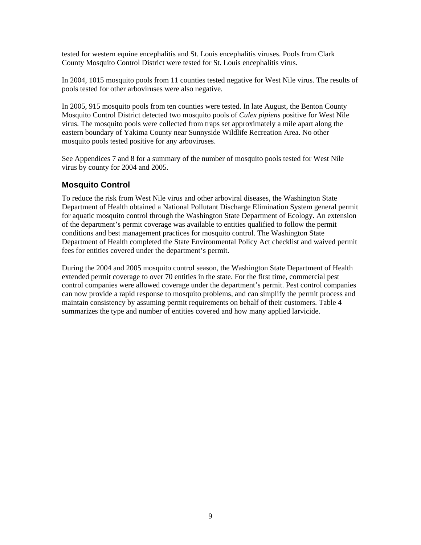tested for western equine encephalitis and St. Louis encephalitis viruses. Pools from Clark County Mosquito Control District were tested for St. Louis encephalitis virus.

In 2004, 1015 mosquito pools from 11 counties tested negative for West Nile virus. The results of pools tested for other arboviruses were also negative.

In 2005, 915 mosquito pools from ten counties were tested. In late August, the Benton County Mosquito Control District detected two mosquito pools of *Culex pipiens* positive for West Nile virus. The mosquito pools were collected from traps set approximately a mile apart along the eastern boundary of Yakima County near Sunnyside Wildlife Recreation Area. No other mosquito pools tested positive for any arboviruses.

See Appendices 7 and 8 for a summary of the number of mosquito pools tested for West Nile virus by county for 2004 and 2005.

## **Mosquito Control**

To reduce the risk from West Nile virus and other arboviral diseases, the Washington State Department of Health obtained a National Pollutant Discharge Elimination System general permit for aquatic mosquito control through the Washington State Department of Ecology. An extension of the department's permit coverage was available to entities qualified to follow the permit conditions and best management practices for mosquito control. The Washington State Department of Health completed the State Environmental Policy Act checklist and waived permit fees for entities covered under the department's permit.

During the 2004 and 2005 mosquito control season, the Washington State Department of Health extended permit coverage to over 70 entities in the state. For the first time, commercial pest control companies were allowed coverage under the department's permit. Pest control companies can now provide a rapid response to mosquito problems, and can simplify the permit process and maintain consistency by assuming permit requirements on behalf of their customers. Table 4 summarizes the type and number of entities covered and how many applied larvicide.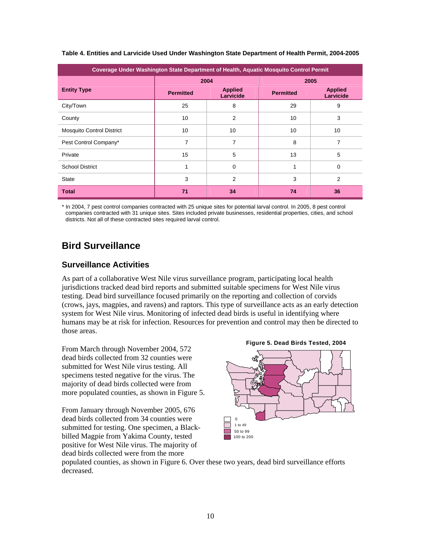| Coverage Under Washington State Department of Health, Aquatic Mosquito Control Permit |                  |                             |                  |                             |  |  |
|---------------------------------------------------------------------------------------|------------------|-----------------------------|------------------|-----------------------------|--|--|
|                                                                                       |                  | 2004                        | 2005             |                             |  |  |
| <b>Entity Type</b>                                                                    | <b>Permitted</b> | <b>Applied</b><br>Larvicide | <b>Permitted</b> | <b>Applied</b><br>Larvicide |  |  |
| City/Town                                                                             | 25               | 8                           | 29               | 9                           |  |  |
| County                                                                                | 10               | 2                           | 10               | 3                           |  |  |
| <b>Mosquito Control District</b>                                                      | 10               | 10                          | 10               | 10                          |  |  |
| Pest Control Company*                                                                 | 7                | 7                           | 8                | 7                           |  |  |
| Private                                                                               | 15               | 5                           | 13               | 5                           |  |  |
| <b>School District</b>                                                                | 1                | $\Omega$                    | 1                | $\Omega$                    |  |  |
| <b>State</b>                                                                          | 3                | $\overline{2}$              | 3                | $\overline{2}$              |  |  |
| <b>Total</b>                                                                          | 71               | 34                          | 74               | 36                          |  |  |

#### **Table 4. Entities and Larvicide Used Under Washington State Department of Health Permit, 2004-2005**

\* In 2004, 7 pest control companies contracted with 25 unique sites for potential larval control. In 2005, 8 pest control companies contracted with 31 unique sites. Sites included private businesses, residential properties, cities, and school districts. Not all of these contracted sites required larval control.

# **Bird Surveillance**

## **Surveillance Activities**

As part of a collaborative West Nile virus surveillance program, participating local health jurisdictions tracked dead bird reports and submitted suitable specimens for West Nile virus testing. Dead bird surveillance focused primarily on the reporting and collection of corvids (crows, jays, magpies, and ravens) and raptors. This type of surveillance acts as an early detection system for West Nile virus. Monitoring of infected dead birds is useful in identifying where humans may be at risk for infection. Resources for prevention and control may then be directed to those areas.

From March through November 2004, 572 dead birds collected from 32 counties were submitted for West Nile virus testing. All specimens tested negative for the virus. The majority of dead birds collected were from more populated counties, as shown in Figure 5.

From January through November 2005, 676 dead birds collected from 34 counties were submitted for testing. One specimen, a Blackbilled Magpie from Yakima County, tested positive for West Nile virus. The majority of dead birds collected were from the more



populated counties, as shown in Figure 6. Over these two years, dead bird surveillance efforts decreased.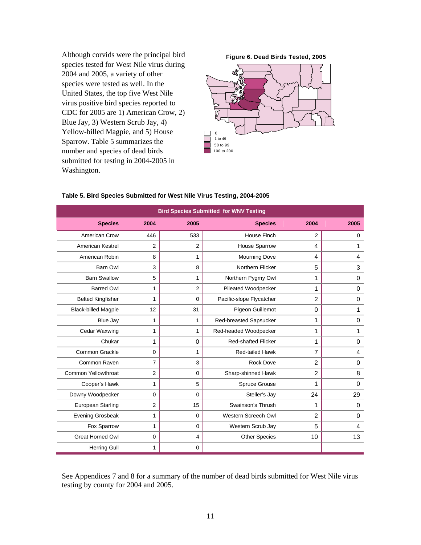Although corvids were the principal bird species tested for West Nile virus during 2004 and 2005, a variety of other species were tested as well. In the United States, the top five West Nile virus positive bird species reported to CDC for 2005 are 1) American Crow, 2) Blue Jay, 3) Western Scrub Jay, 4) Yellow-billed Magpie, and 5) House Sparrow. Table 5 summarizes the number and species of dead birds submitted for testing in 2004-2005 in Washington.

**Figure 6. Dead Birds Tested, 2005** 



| <b>Bird Species Submitted for WNV Testing</b> |                |                |                            |                |             |  |  |  |
|-----------------------------------------------|----------------|----------------|----------------------------|----------------|-------------|--|--|--|
| <b>Species</b>                                | 2004           | 2005           | <b>Species</b>             | 2004           | 2005        |  |  |  |
| American Crow                                 | 446            | 533            | <b>House Finch</b>         | 2              | $\mathbf 0$ |  |  |  |
| American Kestrel                              | $\overline{2}$ | $\overline{2}$ | House Sparrow              | 4              | 1           |  |  |  |
| American Robin                                | 8              | 1              | <b>Mourning Dove</b>       | 4              | 4           |  |  |  |
| <b>Barn Owl</b>                               | 3              | 8              | Northern Flicker           | 5              | 3           |  |  |  |
| <b>Barn Swallow</b>                           | 5              | 1              | Northern Pygmy Owl         | 1              | $\pmb{0}$   |  |  |  |
| <b>Barred Owl</b>                             | 1              | 2              | Pileated Woodpecker        | 1              | 0           |  |  |  |
| <b>Belted Kingfisher</b>                      | 1              | $\mathbf 0$    | Pacific-slope Flycatcher   | $\overline{2}$ | $\mathbf 0$ |  |  |  |
| <b>Black-billed Magpie</b>                    | 12             | 31             | Pigeon Guillemot           | $\Omega$       | 1           |  |  |  |
| Blue Jay                                      | 1              | 1              | Red-breasted Sapsucker     | 1              | $\mathbf 0$ |  |  |  |
| Cedar Waxwing                                 | 1              | 1              | Red-headed Woodpecker      | 1              | 1           |  |  |  |
| Chukar                                        | 1              | 0              | <b>Red-shafted Flicker</b> | 1              | 0           |  |  |  |
| Common Grackle                                | $\mathbf 0$    | 1              | <b>Red-tailed Hawk</b>     | 7              | 4           |  |  |  |
| Common Raven                                  | $\overline{7}$ | 3              | <b>Rock Dove</b>           | $\overline{2}$ | 0           |  |  |  |
| Common Yellowthroat                           | $\overline{2}$ | 0              | Sharp-shinned Hawk         | $\overline{2}$ | 8           |  |  |  |
| Cooper's Hawk                                 | 1              | 5              | Spruce Grouse              | 1              | $\mathbf 0$ |  |  |  |
| Downy Woodpecker                              | $\Omega$       | 0              | Steller's Jay              | 24             | 29          |  |  |  |
| European Starling                             | $\mathbf{2}$   | 15             | Swainson's Thrush          | 1              | 0           |  |  |  |
| <b>Evening Grosbeak</b>                       | 1              | 0              | Western Screech Owl        | $\overline{2}$ | 0           |  |  |  |
| Fox Sparrow                                   | 1              | 0              | Western Scrub Jay          | 5              | 4           |  |  |  |
| <b>Great Horned Owl</b>                       | $\mathbf 0$    | 4              | <b>Other Species</b>       | 10             | 13          |  |  |  |
| <b>Herring Gull</b>                           | 1              | 0              |                            |                |             |  |  |  |

#### **Table 5. Bird Species Submitted for West Nile Virus Testing, 2004-2005**

See Appendices 7 and 8 for a summary of the number of dead birds submitted for West Nile virus testing by county for 2004 and 2005.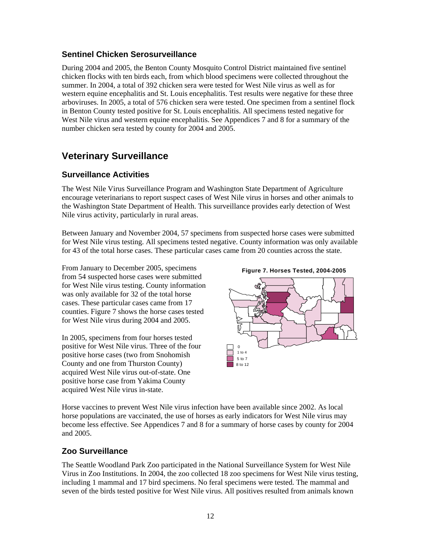## **Sentinel Chicken Serosurveillance**

During 2004 and 2005, the Benton County Mosquito Control District maintained five sentinel chicken flocks with ten birds each, from which blood specimens were collected throughout the summer. In 2004, a total of 392 chicken sera were tested for West Nile virus as well as for western equine encephalitis and St. Louis encephalitis. Test results were negative for these three arboviruses. In 2005, a total of 576 chicken sera were tested. One specimen from a sentinel flock in Benton County tested positive for St. Louis encephalitis. All specimens tested negative for West Nile virus and western equine encephalitis. See Appendices 7 and 8 for a summary of the number chicken sera tested by county for 2004 and 2005.

# **Veterinary Surveillance**

## **Surveillance Activities**

The West Nile Virus Surveillance Program and Washington State Department of Agriculture encourage veterinarians to report suspect cases of West Nile virus in horses and other animals to the Washington State Department of Health. This surveillance provides early detection of West Nile virus activity, particularly in rural areas.

Between January and November 2004, 57 specimens from suspected horse cases were submitted for West Nile virus testing. All specimens tested negative. County information was only available for 43 of the total horse cases. These particular cases came from 20 counties across the state.

From January to December 2005, specimens from 54 suspected horse cases were submitted for West Nile virus testing. County information was only available for 32 of the total horse cases. These particular cases came from 17 counties. Figure 7 shows the horse cases tested for West Nile virus during 2004 and 2005.

In 2005, specimens from four horses tested positive for West Nile virus. Three of the four positive horse cases (two from Snohomish County and one from Thurston County) acquired West Nile virus out-of-state. One positive horse case from Yakima County acquired West Nile virus in-state.





Horse vaccines to prevent West Nile virus infection have been available since 2002. As local horse populations are vaccinated, the use of horses as early indicators for West Nile virus may become less effective. See Appendices 7 and 8 for a summary of horse cases by county for 2004 and 2005.

## **Zoo Surveillance**

The Seattle Woodland Park Zoo participated in the National Surveillance System for West Nile Virus in Zoo Institutions. In 2004, the zoo collected 18 zoo specimens for West Nile virus testing, including 1 mammal and 17 bird specimens. No feral specimens were tested. The mammal and seven of the birds tested positive for West Nile virus. All positives resulted from animals known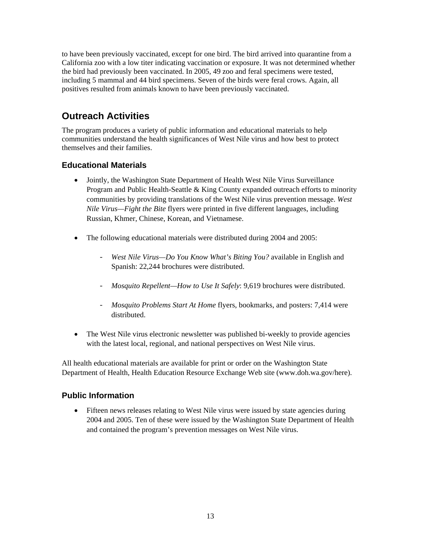to have been previously vaccinated, except for one bird. The bird arrived into quarantine from a California zoo with a low titer indicating vaccination or exposure. It was not determined whether the bird had previously been vaccinated. In 2005, 49 zoo and feral specimens were tested, including 5 mammal and 44 bird specimens. Seven of the birds were feral crows. Again, all positives resulted from animals known to have been previously vaccinated.

# **Outreach Activities**

The program produces a variety of public information and educational materials to help communities understand the health significances of West Nile virus and how best to protect themselves and their families.

## **Educational Materials**

- Jointly, the Washington State Department of Health West Nile Virus Surveillance Program and Public Health-Seattle & King County expanded outreach efforts to minority communities by providing translations of the West Nile virus prevention message. *West Nile Virus—Fight the Bite* flyers were printed in five different languages, including Russian, Khmer, Chinese, Korean, and Vietnamese.
- The following educational materials were distributed during 2004 and 2005:
	- *West Nile Virus—Do You Know What's Biting You?* available in English and Spanish: 22,244 brochures were distributed.
	- *Mosquito Repellent—How to Use It Safely*: 9,619 brochures were distributed.
	- *Mosquito Problems Start At Home* flyers, bookmarks, and posters: 7,414 were distributed.
- The West Nile virus electronic newsletter was published bi-weekly to provide agencies with the latest local, regional, and national perspectives on West Nile virus.

All health educational materials are available for print or order on the Washington State Department of Health, Health Education Resource Exchange Web site (www.doh.wa.gov/here).

## **Public Information**

• Fifteen news releases relating to West Nile virus were issued by state agencies during 2004 and 2005. Ten of these were issued by the Washington State Department of Health and contained the program's prevention messages on West Nile virus.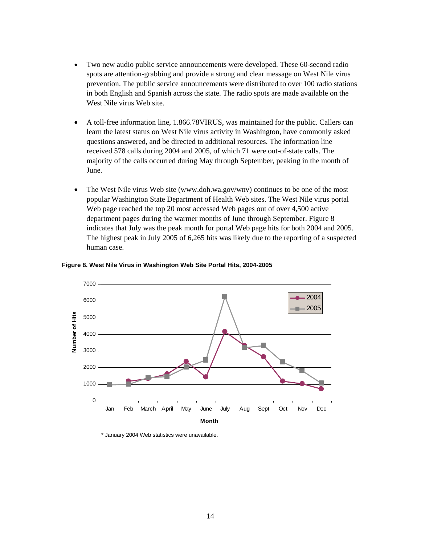- Two new audio public service announcements were developed. These 60-second radio spots are attention-grabbing and provide a strong and clear message on West Nile virus prevention. The public service announcements were distributed to over 100 radio stations in both English and Spanish across the state. The radio spots are made available on the West Nile virus Web site.
- A toll-free information line, 1.866.78VIRUS, was maintained for the public. Callers can learn the latest status on West Nile virus activity in Washington, have commonly asked questions answered, and be directed to additional resources. The information line received 578 calls during 2004 and 2005, of which 71 were out-of-state calls. The majority of the calls occurred during May through September, peaking in the month of June.
- The West Nile virus Web site (www.doh.wa.gov/wnv) continues to be one of the most popular Washington State Department of Health Web sites. The West Nile virus portal Web page reached the top 20 most accessed Web pages out of over 4,500 active department pages during the warmer months of June through September. Figure 8 indicates that July was the peak month for portal Web page hits for both 2004 and 2005. The highest peak in July 2005 of 6,265 hits was likely due to the reporting of a suspected human case.



#### **Figure 8. West Nile Virus in Washington Web Site Portal Hits, 2004-2005**

\* January 2004 Web statistics were unavailable.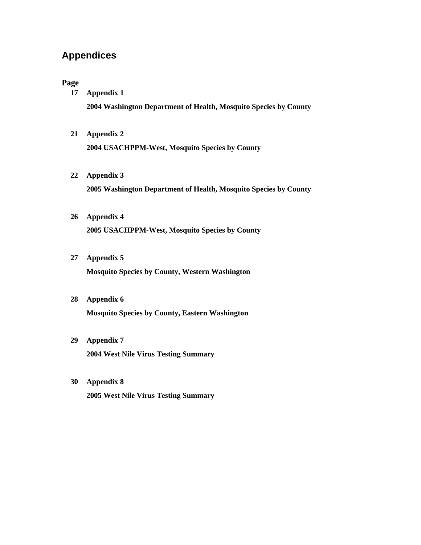# **Appendices**

#### **Page**

- **17 Appendix 1 2004 Washington Department of Health, Mosquito Species by County**
- **21 Appendix 2 2004 USACHPPM-West, Mosquito Species by County**
- **22 Appendix 3 2005 Washington Department of Health, Mosquito Species by County**

# **26 Appendix 4 2005 USACHPPM-West, Mosquito Species by County**

**27 Appendix 5** 

**Mosquito Species by County, Western Washington** 

- **28 Appendix 6 Mosquito Species by County, Eastern Washington**
- **29 Appendix 7 2004 West Nile Virus Testing Summary**
- **30 Appendix 8 2005 West Nile Virus Testing Summary**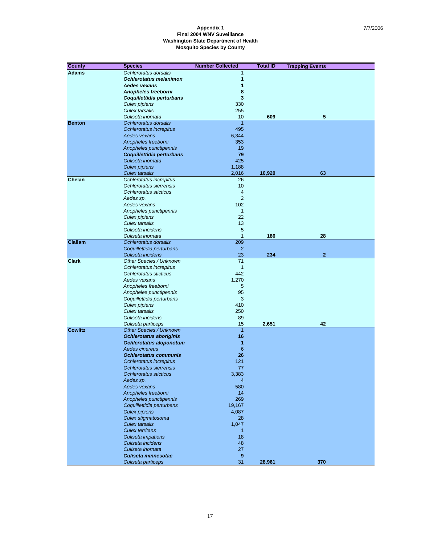| <b>County</b>  | <b>Species</b>                                     | <b>Number Collected</b> | <b>Total ID</b> | <b>Trapping Events</b> |
|----------------|----------------------------------------------------|-------------------------|-----------------|------------------------|
| <b>Adams</b>   | Ochlerotatus dorsalis                              | $\mathbf{1}$            |                 |                        |
|                | <b>Ochlerotatus melanimon</b>                      | 1                       |                 |                        |
|                | Aedes vexans                                       | 1                       |                 |                        |
|                | Anopheles freeborni                                | 8                       |                 |                        |
|                | Coquillettidia perturbans                          | 3                       |                 |                        |
|                | Culex pipiens                                      | 330                     |                 |                        |
|                | Culex tarsalis                                     | 255                     |                 |                        |
|                | Culiseta inornata                                  | 10                      | 609             | 5                      |
| <b>Benton</b>  | Ochlerotatus dorsalis                              | $\overline{1}$          |                 |                        |
|                | Ochlerotatus increpitus                            | 495                     |                 |                        |
|                | Aedes vexans                                       | 6,344                   |                 |                        |
|                | Anopheles freeborni                                | 353                     |                 |                        |
|                | Anopheles punctipennis                             | 19                      |                 |                        |
|                | Coquillettidia perturbans                          | 79                      |                 |                        |
|                | Culiseta inornata                                  | 425                     |                 |                        |
|                | <b>Culex pipiens</b>                               | 1,188                   |                 |                        |
|                | Culex tarsalis                                     | 2,016                   | 10,920          | 63                     |
| Chelan         | Ochlerotatus increpitus<br>Ochlerotatus sierrensis | 26<br>10                |                 |                        |
|                | Ochlerotatus sticticus                             | 4                       |                 |                        |
|                | Aedes sp.                                          | 2                       |                 |                        |
|                | Aedes vexans                                       | 102                     |                 |                        |
|                | Anopheles punctipennis                             | $\mathbf{1}$            |                 |                        |
|                | Culex pipiens                                      | 22                      |                 |                        |
|                | <b>Culex tarsalis</b>                              | 13                      |                 |                        |
|                | Culiseta incidens                                  | 5                       |                 |                        |
|                | Culiseta inornata                                  | 1                       | 186             | 28                     |
| <b>Clallam</b> | Ochlerotatus dorsalis                              | 209                     |                 |                        |
|                | Coquillettidia perturbans                          | $\overline{2}$          |                 |                        |
|                | Culiseta incidens                                  | 23                      | 234             | $\mathbf{2}$           |
| <b>Clark</b>   | Other Species / Unknown                            | $\overline{71}$         |                 |                        |
|                | Ochlerotatus increpitus                            | $\mathbf{1}$            |                 |                        |
|                | Ochlerotatus sticticus                             | 442                     |                 |                        |
|                | Aedes vexans                                       | 1,270                   |                 |                        |
|                | Anopheles freeborni                                | 5                       |                 |                        |
|                | Anopheles punctipennis                             | 95                      |                 |                        |
|                | Coquillettidia perturbans                          | 3                       |                 |                        |
|                | Culex pipiens                                      | 410                     |                 |                        |
|                | <b>Culex tarsalis</b>                              | 250                     |                 |                        |
|                | Culiseta incidens                                  | 89<br>15                |                 | 42                     |
| <b>Cowlitz</b> | Culiseta particeps<br>Other Species / Unknown      | $\overline{1}$          | 2,651           |                        |
|                | <b>Ochlerotatus aboriginis</b>                     | 16                      |                 |                        |
|                | Ochlerotatus aloponotum                            | 1                       |                 |                        |
|                | Aedes cinereus                                     | 6                       |                 |                        |
|                | <b>Ochlerotatus communis</b>                       | 26                      |                 |                        |
|                | Ochlerotatus increpitus                            | 121                     |                 |                        |
|                | Ochlerotatus sierrensis                            | 77                      |                 |                        |
|                | Ochlerotatus sticticus                             | 3,383                   |                 |                        |
|                | Aedes sp.                                          | 4                       |                 |                        |
|                | Aedes vexans                                       | 580                     |                 |                        |
|                | Anopheles freeborni                                | 14                      |                 |                        |
|                | Anopheles punctipennis                             | 269                     |                 |                        |
|                | Coquillettidia perturbans                          | 19,167                  |                 |                        |
|                | <b>Culex pipiens</b>                               | 4,087                   |                 |                        |
|                | Culex stigmatosoma                                 | 28                      |                 |                        |
|                | <b>Culex tarsalis</b>                              | 1,047                   |                 |                        |
|                | <b>Culex territans</b>                             | $\mathbf{1}$            |                 |                        |
|                | Culiseta impatiens                                 | 18                      |                 |                        |
|                | Culiseta incidens                                  | 48                      |                 |                        |
|                | Culiseta inornata<br>Culiseta minnesotae           | 27                      |                 |                        |
|                | Culiseta particeps                                 | 9<br>31                 | 28,961          | 370                    |
|                |                                                    |                         |                 |                        |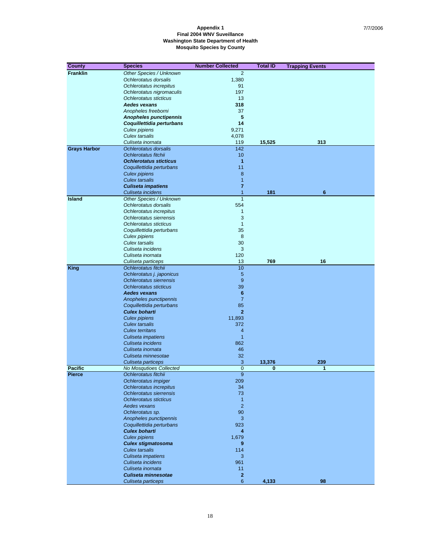| <b>County</b>       | <b>Species</b>                                    | <b>Number Collected</b> | <b>Total ID</b> | <b>Trapping Events</b> |
|---------------------|---------------------------------------------------|-------------------------|-----------------|------------------------|
| <b>Franklin</b>     | Other Species / Unknown                           | $\overline{2}$          |                 |                        |
|                     | Ochlerotatus dorsalis                             | 1,380                   |                 |                        |
|                     | Ochlerotatus increpitus                           | 91                      |                 |                        |
|                     | Ochlerotatus nigromaculis                         | 197                     |                 |                        |
|                     | Ochlerotatus sticticus                            | 13                      |                 |                        |
|                     | <b>Aedes vexans</b>                               | 318                     |                 |                        |
|                     | Anopheles freeborni                               | 37                      |                 |                        |
|                     | <b>Anopheles punctipennis</b>                     | 5                       |                 |                        |
|                     | Coquillettidia perturbans                         | 14                      |                 |                        |
|                     | Culex pipiens                                     | 9,271                   |                 |                        |
|                     | Culex tarsalis                                    | 4,078                   |                 |                        |
|                     | Culiseta inornata                                 | 119                     | 15,525          | 313                    |
| <b>Grays Harbor</b> | Ochlerotatus dorsalis                             | 142                     |                 |                        |
|                     | Ochlerotatus fitchii                              | 10                      |                 |                        |
|                     | <b>Ochlerotatus sticticus</b>                     | 1                       |                 |                        |
|                     | Coquillettidia perturbans                         | 11                      |                 |                        |
|                     | <b>Culex pipiens</b>                              | 8                       |                 |                        |
|                     | <b>Culex tarsalis</b>                             | $\overline{1}$          |                 |                        |
|                     | <b>Culiseta impatiens</b>                         | 7                       |                 |                        |
|                     | Culiseta incidens                                 | 1                       | 181             | 6                      |
| <b>Island</b>       | Other Species / Unknown                           | $\overline{1}$          |                 |                        |
|                     | Ochlerotatus dorsalis                             | 554                     |                 |                        |
|                     | Ochlerotatus increpitus                           | 1                       |                 |                        |
|                     | Ochlerotatus sierrensis                           | 3                       |                 |                        |
|                     | Ochlerotatus sticticus                            | $\mathbf{1}$            |                 |                        |
|                     | Coquillettidia perturbans                         | 35                      |                 |                        |
|                     | Culex pipiens                                     | 8                       |                 |                        |
|                     | Culex tarsalis<br>Culiseta incidens               | 30<br>3                 |                 |                        |
|                     | Culiseta inornata                                 | 120                     |                 |                        |
|                     | Culiseta particeps                                | 13                      | 769             | 16                     |
| King                | Ochlerotatus fitchii                              | 10                      |                 |                        |
|                     | Ochlerotatus j. japonicus                         | 5                       |                 |                        |
|                     | Ochlerotatus sierrensis                           | 9                       |                 |                        |
|                     | Ochlerotatus sticticus                            | 39                      |                 |                        |
|                     | <b>Aedes vexans</b>                               | 6                       |                 |                        |
|                     | Anopheles punctipennis                            | $\overline{7}$          |                 |                        |
|                     | Coquillettidia perturbans                         | 85                      |                 |                        |
|                     | <b>Culex boharti</b>                              | $\overline{2}$          |                 |                        |
|                     | <b>Culex pipiens</b>                              | 11,893                  |                 |                        |
|                     | <b>Culex tarsalis</b>                             | 372                     |                 |                        |
|                     | <b>Culex territans</b>                            | 4                       |                 |                        |
|                     | Culiseta impatiens                                | $\overline{1}$          |                 |                        |
|                     | Culiseta incidens                                 | 862                     |                 |                        |
|                     | Culiseta inornata                                 | 46                      |                 |                        |
|                     | Culiseta minnesotae                               | 32                      |                 |                        |
|                     | Culiseta particeps                                | 3                       | 13,376          | 239                    |
| <b>Pacific</b>      | No Mosqutioes Collected                           | $\overline{0}$          | 0               | 1                      |
| Pierce              | Ochlerotatus fitchii                              | 9                       |                 |                        |
|                     | Ochlerotatus impiger                              | 209                     |                 |                        |
|                     | Ochlerotatus increpitus                           | 34                      |                 |                        |
|                     | Ochlerotatus sierrensis                           | 73                      |                 |                        |
|                     | Ochlerotatus sticticus                            | $\mathbf{1}$            |                 |                        |
|                     | Aedes vexans                                      | $\overline{2}$          |                 |                        |
|                     | Ochlerotatus sp.                                  | 90                      |                 |                        |
|                     | Anopheles punctipennis                            | 3                       |                 |                        |
|                     | Coquillettidia perturbans<br><b>Culex boharti</b> | 923                     |                 |                        |
|                     |                                                   | 4                       |                 |                        |
|                     | Culex pipiens                                     | 1,679                   |                 |                        |
|                     | Culex stigmatosoma                                | 9                       |                 |                        |
|                     | <b>Culex tarsalis</b><br>Culiseta impatiens       | 114<br>3                |                 |                        |
|                     | Culiseta incidens                                 | 961                     |                 |                        |
|                     | Culiseta inornata                                 | 11                      |                 |                        |
|                     | Culiseta minnesotae                               | 2                       |                 |                        |
|                     | Culiseta particeps                                | 6                       | 4,133           | 98                     |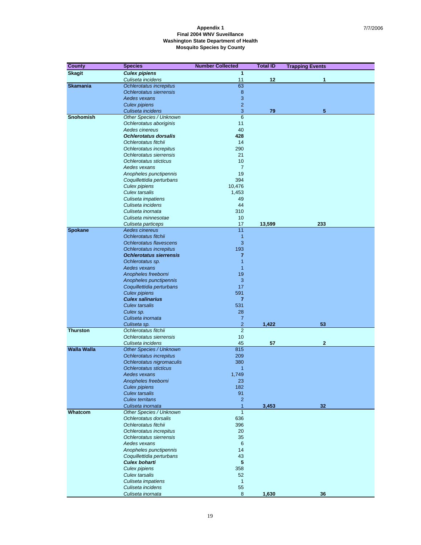| <b>County</b>      | <b>Species</b>                                            | <b>Number Collected</b> | <b>Total ID</b> | <b>Trapping Events</b> |
|--------------------|-----------------------------------------------------------|-------------------------|-----------------|------------------------|
| <b>Skagit</b>      | <b>Culex pipiens</b>                                      | 1                       |                 |                        |
|                    | Culiseta incidens                                         | 11                      | 12              | 1                      |
| <b>Skamania</b>    | Ochlerotatus increpitus                                   | 63                      |                 |                        |
|                    | Ochlerotatus sierrensis                                   | 8                       |                 |                        |
|                    | Aedes vexans                                              | 3                       |                 |                        |
|                    | <b>Culex pipiens</b>                                      | $\overline{2}$          |                 |                        |
|                    | Culiseta incidens                                         | 3                       | 79              | 5                      |
| <b>Snohomish</b>   | Other Species / Unknown                                   | 6                       |                 |                        |
|                    | Ochlerotatus aboriginis                                   | 11                      |                 |                        |
|                    | Aedes cinereus                                            | 40                      |                 |                        |
|                    | <b>Ochlerotatus dorsalis</b>                              | 428                     |                 |                        |
|                    | Ochlerotatus fitchii                                      | 14                      |                 |                        |
|                    | Ochlerotatus increpitus                                   | 290                     |                 |                        |
|                    | Ochlerotatus sierrensis                                   | 21                      |                 |                        |
|                    | Ochlerotatus sticticus                                    | 10                      |                 |                        |
|                    | Aedes vexans                                              | $\overline{7}$          |                 |                        |
|                    | Anopheles punctipennis                                    | 19                      |                 |                        |
|                    | Coquillettidia perturbans                                 | 394                     |                 |                        |
|                    | Culex pipiens                                             | 10,476                  |                 |                        |
|                    | <b>Culex tarsalis</b>                                     | 1,453                   |                 |                        |
|                    | Culiseta impatiens                                        | 49                      |                 |                        |
|                    | Culiseta incidens                                         | 44                      |                 |                        |
|                    | Culiseta inornata                                         | 310                     |                 |                        |
|                    | Culiseta minnesotae                                       | 10                      |                 |                        |
|                    | Culiseta particeps                                        | 17                      | 13,599          | 233                    |
| Spokane            | Aedes cinereus                                            | 11                      |                 |                        |
|                    | Ochlerotatus fitchii                                      | $\mathbf{1}$<br>3       |                 |                        |
|                    | Ochlerotatus flavescens                                   | 193                     |                 |                        |
|                    | Ochlerotatus increpitus<br><b>Ochlerotatus sierrensis</b> | $\overline{7}$          |                 |                        |
|                    |                                                           | 1                       |                 |                        |
|                    | Ochlerotatus sp.<br>Aedes vexans                          | $\mathbf{1}$            |                 |                        |
|                    | Anopheles freeborni                                       | 19                      |                 |                        |
|                    | Anopheles punctipennis                                    | 3                       |                 |                        |
|                    | Coquillettidia perturbans                                 | 17                      |                 |                        |
|                    | <b>Culex pipiens</b>                                      | 591                     |                 |                        |
|                    | <b>Culex salinarius</b>                                   | $\overline{7}$          |                 |                        |
|                    | <b>Culex tarsalis</b>                                     | 531                     |                 |                        |
|                    | Culex sp.                                                 | 28                      |                 |                        |
|                    | Culiseta inornata                                         | $\overline{7}$          |                 |                        |
|                    | Culiseta sp.                                              | $\overline{c}$          | 1,422           | 53                     |
| <b>Thurston</b>    | Ochlerotatus fitchii                                      | $\overline{2}$          |                 |                        |
|                    | Ochlerotatus sierrensis                                   | 10                      |                 |                        |
|                    | Culiseta incidens                                         | 45                      | 57              | $\overline{2}$         |
| <b>Walla Walla</b> | <b>Other Species / Unknown</b>                            | 815                     |                 |                        |
|                    | Ochlerotatus increpitus                                   | 209                     |                 |                        |
|                    | Ochlerotatus nigromaculis                                 | 380                     |                 |                        |
|                    | Ochlerotatus sticticus                                    | 1                       |                 |                        |
|                    | Aedes vexans                                              | 1,749                   |                 |                        |
|                    | Anopheles freeborni                                       | 23                      |                 |                        |
|                    | <b>Culex pipiens</b>                                      | 182                     |                 |                        |
|                    | Culex tarsalis                                            | 91                      |                 |                        |
|                    | <b>Culex territans</b>                                    | $\overline{c}$          |                 |                        |
|                    | Culiseta inornata                                         | 1                       | 3,453           | 32                     |
| Whatcom            | <b>Other Species / Unknown</b>                            | $\mathbf{1}$            |                 |                        |
|                    | Ochlerotatus dorsalis                                     | 636                     |                 |                        |
|                    | Ochlerotatus fitchii                                      | 396                     |                 |                        |
|                    | Ochlerotatus increpitus                                   | 20                      |                 |                        |
|                    | Ochlerotatus sierrensis                                   | 35                      |                 |                        |
|                    | Aedes vexans                                              | 6                       |                 |                        |
|                    | Anopheles punctipennis                                    | 14                      |                 |                        |
|                    | Coquillettidia perturbans                                 | 43                      |                 |                        |
|                    | <b>Culex boharti</b>                                      | ${\bf 5}$               |                 |                        |
|                    | Culex pipiens                                             | 358                     |                 |                        |
|                    | <b>Culex tarsalis</b>                                     | 52                      |                 |                        |
|                    | Culiseta impatiens                                        | $\mathbf{1}$            |                 |                        |
|                    | Culiseta incidens                                         | 55                      |                 |                        |
|                    | Culiseta inornata                                         | 8                       | 1,630           | 36                     |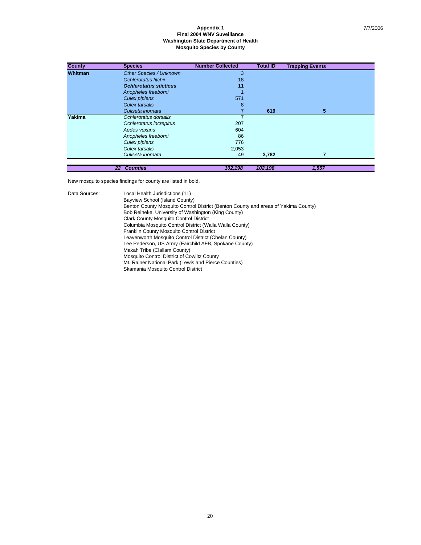| County  | <b>Species</b>                 | <b>Number Collected</b> | <b>Total ID</b> | <b>Trapping Events</b> |
|---------|--------------------------------|-------------------------|-----------------|------------------------|
| Whitman | <b>Other Species / Unknown</b> | 3                       |                 |                        |
|         | Ochlerotatus fitchii           | 18                      |                 |                        |
|         | <b>Ochlerotatus sticticus</b>  | 11                      |                 |                        |
|         | Anopheles freeborni            |                         |                 |                        |
|         | Culex pipiens                  | 571                     |                 |                        |
|         | Culex tarsalis                 | 8                       |                 |                        |
|         | Culiseta inornata              | $\overline{7}$          | 619             | 5                      |
| Yakima  | Ochlerotatus dorsalis          |                         |                 |                        |
|         | Ochlerotatus increpitus        | 207                     |                 |                        |
|         | Aedes vexans                   | 604                     |                 |                        |
|         | Anopheles freeborni            | 86                      |                 |                        |
|         | Culex pipiens                  | 776                     |                 |                        |
|         | Culex tarsalis                 | 2,053                   |                 |                        |
|         | Culiseta inornata              | 49                      | 3,782           |                        |
|         | <b>Counties</b><br>22          | 102,198                 | 102,198         | 1,557                  |

New mosquito species findings for county are listed in bold.

Data Sources: Local Health Jurisdictions (11) Bayview School (Island County) Benton County Mosquito Control District (Benton County and areas of Yakima County) Bob Reineke, University of Washington (King County) Clark County Mosquito Control District Columbia Mosquito Control District (Walla Walla County) Franklin County Mosquito Control District Leavenworth Mosquito Control District (Chelan County) Lee Pederson, US Army (Fairchild AFB, Spokane County) Makah Tribe (Clallam County) Mosquito Control District of Cowlitz County Mt. Rainer National Park (Lewis and Pierce Counties) Skamania Mosquito Control District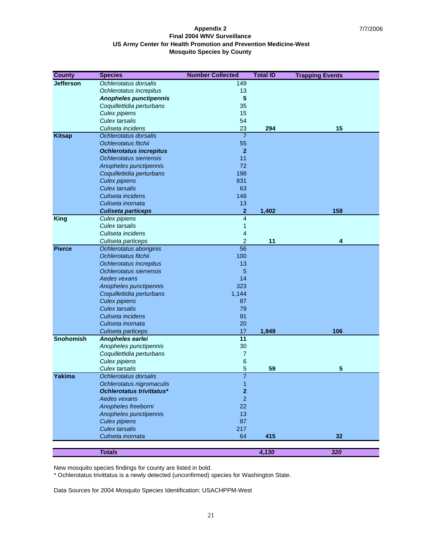#### **Appendix 2 Final 2004 WNV Surveillance US Army Center for Health Promotion and Prevention Medicine-West Mosquito Species by County**

| <b>County</b>    | <b>Species</b>                   | <b>Number Collected</b> | <b>Total ID</b> | <b>Trapping Events</b> |
|------------------|----------------------------------|-------------------------|-----------------|------------------------|
| <b>Jefferson</b> | Ochlerotatus dorsalis            | 149                     |                 |                        |
|                  | Ochlerotatus increpitus          | 13                      |                 |                        |
|                  | <b>Anopheles punctipennis</b>    | 5                       |                 |                        |
|                  | Coquillettidia perturbans        | 35                      |                 |                        |
|                  | Culex pipiens                    | 15                      |                 |                        |
|                  | <b>Culex tarsalis</b>            | 54                      |                 |                        |
|                  | Culiseta incidens                | 23                      | 294             | 15                     |
| <b>Kitsap</b>    | Ochlerotatus dorsalis            | $\overline{7}$          |                 |                        |
|                  | Ochlerotatus fitchii             | 55                      |                 |                        |
|                  | <b>Ochlerotatus increpitus</b>   | $\overline{2}$          |                 |                        |
|                  | Ochlerotatus sierrensis          | 11                      |                 |                        |
|                  | Anopheles punctipennis           | 72                      |                 |                        |
|                  | Coquillettidia perturbans        | 198                     |                 |                        |
|                  | <b>Culex pipiens</b>             | 831                     |                 |                        |
|                  | <b>Culex tarsalis</b>            | 63                      |                 |                        |
|                  | Culiseta incidens                | 148                     |                 |                        |
|                  | Culiseta inornata                | 13                      |                 |                        |
|                  | <b>Culiseta particeps</b>        | $\overline{2}$          | 1,402           | 158                    |
| <b>King</b>      | Culex pipiens                    | 4                       |                 |                        |
|                  | Culex tarsalis                   | 1                       |                 |                        |
|                  | Culiseta incidens                | 4                       |                 |                        |
|                  | Culiseta particeps               | $\overline{c}$          | 11              | 4                      |
| <b>Pierce</b>    | Ochlerotatus aboriginis          | 56                      |                 |                        |
|                  | Ochlerotatus fitchii             | 100                     |                 |                        |
|                  | Ochlerotatus increpitus          | 13                      |                 |                        |
|                  | Ochlerotatus sierrensis          | 5                       |                 |                        |
|                  | Aedes vexans                     | 14                      |                 |                        |
|                  | Anopheles punctipennis           | 323                     |                 |                        |
|                  | Coquillettidia perturbans        | 1,144                   |                 |                        |
|                  | <b>Culex pipiens</b>             | 87                      |                 |                        |
|                  | <b>Culex tarsalis</b>            | 79                      |                 |                        |
|                  | Culiseta incidens                | 91                      |                 |                        |
|                  | Culiseta inornata                | 20                      |                 |                        |
|                  | Culiseta particeps               | 17                      | 1,949           | 106                    |
| <b>Snohomish</b> | Anopheles earlei                 | 11                      |                 |                        |
|                  | Anopheles punctipennis           | 30                      |                 |                        |
|                  | Coquillettidia perturbans        | 7                       |                 |                        |
|                  | <b>Culex pipiens</b>             | 6                       |                 |                        |
|                  | <b>Culex tarsalis</b>            | 5                       | 59              | 5                      |
| Yakima           | Ochlerotatus dorsalis            | $\overline{7}$          |                 |                        |
|                  | Ochlerotatus nigromaculis        | 1                       |                 |                        |
|                  | <b>Ochlerotatus trivittatus*</b> | $\mathbf 2$             |                 |                        |
|                  | Aedes vexans                     | $\overline{2}$          |                 |                        |
|                  | Anopheles freeborni              | 22                      |                 |                        |
|                  | Anopheles punctipennis           | 13                      |                 |                        |
|                  | <b>Culex pipiens</b>             | 87                      |                 |                        |
|                  | <b>Culex tarsalis</b>            | 217                     |                 |                        |
|                  | Culiseta inornata                | 64                      | 415             | 32                     |
|                  |                                  |                         |                 |                        |
|                  | <b>Totals</b>                    |                         | 4,130           | 320                    |

New mosquito species findings for county are listed in bold.

\* Ochlerotatus trivittatus is a newly detected (unconfirmed) species for Washington State.

Data Sources for 2004 Mosquito Species Identification: USACHPPM-West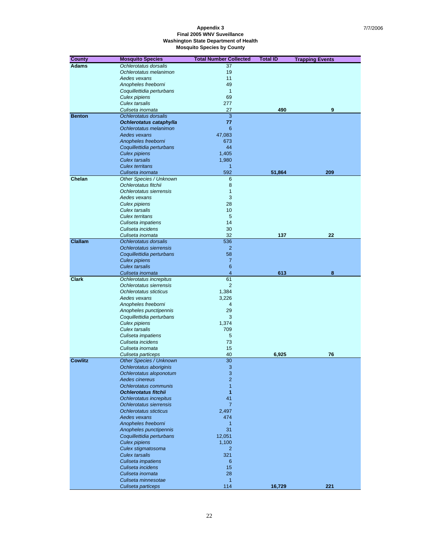| <b>Adams</b><br>Ochlerotatus dorsalis<br>37<br>Ochlerotatus melanimon<br>19<br>11<br>Aedes vexans<br>49<br>Anopheles freeborni<br>$\mathbf{1}$<br>Coquillettidia perturbans<br>69<br>Culex pipiens<br><b>Culex tarsalis</b><br>277<br>27<br>490<br>9<br>Culiseta inornata<br><b>Benton</b><br>3<br>Ochlerotatus dorsalis<br>77<br>Ochlerotatus cataphylla<br>6<br>Ochlerotatus melanimon<br>47,083<br>Aedes vexans<br>Anopheles freeborni<br>673<br>44<br>Coquillettidia perturbans<br>1,405<br>Culex pipiens<br><b>Culex tarsalis</b><br>1,980<br><b>Culex territans</b><br>1<br>592<br>209<br>Culiseta inornata<br>51,864<br>Chelan<br>Other Species / Unknown<br>6<br>8<br>Ochlerotatus fitchii<br>$\mathbf{1}$<br>Ochlerotatus sierrensis<br>3<br>Aedes vexans<br>Culex pipiens<br>28<br>Culex tarsalis<br>10<br>5<br><b>Culex territans</b><br>14<br>Culiseta impatiens<br>30<br>Culiseta incidens<br>32<br>137<br>22<br>Culiseta inornata<br><b>Clallam</b><br>536<br>Ochlerotatus dorsalis<br>$\overline{2}$<br>Ochlerotatus sierrensis<br>58<br>Coquillettidia perturbans<br>$\overline{7}$<br><b>Culex pipiens</b><br>$6\phantom{1}$<br>Culex tarsalis<br>$\overline{4}$<br>Culiseta inornata<br>613<br>8<br><b>Clark</b><br>61<br>Ochlerotatus increpitus<br>$\overline{2}$<br>Ochlerotatus sierrensis<br>1,384<br>Ochlerotatus sticticus<br>Aedes vexans<br>3,226<br>Anopheles freeborni<br>4<br>29<br>Anopheles punctipennis<br>3<br>Coquillettidia perturbans<br>1,374<br>Culex pipiens<br><b>Culex tarsalis</b><br>709<br>5<br>Culiseta impatiens<br>73<br>Culiseta incidens<br>15<br>Culiseta inornata<br>40<br>6,925<br>76<br>Culiseta particeps<br>$\overline{30}$<br><b>Cowlitz</b><br><b>Other Species / Unknown</b><br>3<br>Ochlerotatus aboriginis<br>$\mathbf{3}$<br>Ochlerotatus aloponotum<br>Aedes cinereus<br>$\overline{2}$<br>$\overline{1}$<br>Ochlerotatus communis<br>1<br><b>Ochlerotatus fitchii</b><br>41<br>Ochlerotatus increpitus<br>$\overline{7}$<br>Ochlerotatus sierrensis<br>Ochlerotatus sticticus<br>2,497<br>474<br>Aedes vexans<br>Anopheles freeborni<br>1<br>31<br>Anopheles punctipennis<br>Coquillettidia perturbans<br>12,051<br><b>Culex pipiens</b><br>1,100<br>Culex stigmatosoma<br>$\overline{2}$<br><b>Culex tarsalis</b><br>321<br>Culiseta impatiens<br>6<br>Culiseta incidens<br>15 | <b>County</b> | <b>Mosquito Species</b> | <b>Total Number Collected</b> | <b>Total ID</b> | <b>Trapping Events</b> |
|-------------------------------------------------------------------------------------------------------------------------------------------------------------------------------------------------------------------------------------------------------------------------------------------------------------------------------------------------------------------------------------------------------------------------------------------------------------------------------------------------------------------------------------------------------------------------------------------------------------------------------------------------------------------------------------------------------------------------------------------------------------------------------------------------------------------------------------------------------------------------------------------------------------------------------------------------------------------------------------------------------------------------------------------------------------------------------------------------------------------------------------------------------------------------------------------------------------------------------------------------------------------------------------------------------------------------------------------------------------------------------------------------------------------------------------------------------------------------------------------------------------------------------------------------------------------------------------------------------------------------------------------------------------------------------------------------------------------------------------------------------------------------------------------------------------------------------------------------------------------------------------------------------------------------------------------------------------------------------------------------------------------------------------------------------------------------------------------------------------------------------------------------------------------------------------------------------------------------------------------------------------------------------------------------------------------------------------------------|---------------|-------------------------|-------------------------------|-----------------|------------------------|
|                                                                                                                                                                                                                                                                                                                                                                                                                                                                                                                                                                                                                                                                                                                                                                                                                                                                                                                                                                                                                                                                                                                                                                                                                                                                                                                                                                                                                                                                                                                                                                                                                                                                                                                                                                                                                                                                                                                                                                                                                                                                                                                                                                                                                                                                                                                                                 |               |                         |                               |                 |                        |
|                                                                                                                                                                                                                                                                                                                                                                                                                                                                                                                                                                                                                                                                                                                                                                                                                                                                                                                                                                                                                                                                                                                                                                                                                                                                                                                                                                                                                                                                                                                                                                                                                                                                                                                                                                                                                                                                                                                                                                                                                                                                                                                                                                                                                                                                                                                                                 |               |                         |                               |                 |                        |
|                                                                                                                                                                                                                                                                                                                                                                                                                                                                                                                                                                                                                                                                                                                                                                                                                                                                                                                                                                                                                                                                                                                                                                                                                                                                                                                                                                                                                                                                                                                                                                                                                                                                                                                                                                                                                                                                                                                                                                                                                                                                                                                                                                                                                                                                                                                                                 |               |                         |                               |                 |                        |
|                                                                                                                                                                                                                                                                                                                                                                                                                                                                                                                                                                                                                                                                                                                                                                                                                                                                                                                                                                                                                                                                                                                                                                                                                                                                                                                                                                                                                                                                                                                                                                                                                                                                                                                                                                                                                                                                                                                                                                                                                                                                                                                                                                                                                                                                                                                                                 |               |                         |                               |                 |                        |
|                                                                                                                                                                                                                                                                                                                                                                                                                                                                                                                                                                                                                                                                                                                                                                                                                                                                                                                                                                                                                                                                                                                                                                                                                                                                                                                                                                                                                                                                                                                                                                                                                                                                                                                                                                                                                                                                                                                                                                                                                                                                                                                                                                                                                                                                                                                                                 |               |                         |                               |                 |                        |
|                                                                                                                                                                                                                                                                                                                                                                                                                                                                                                                                                                                                                                                                                                                                                                                                                                                                                                                                                                                                                                                                                                                                                                                                                                                                                                                                                                                                                                                                                                                                                                                                                                                                                                                                                                                                                                                                                                                                                                                                                                                                                                                                                                                                                                                                                                                                                 |               |                         |                               |                 |                        |
|                                                                                                                                                                                                                                                                                                                                                                                                                                                                                                                                                                                                                                                                                                                                                                                                                                                                                                                                                                                                                                                                                                                                                                                                                                                                                                                                                                                                                                                                                                                                                                                                                                                                                                                                                                                                                                                                                                                                                                                                                                                                                                                                                                                                                                                                                                                                                 |               |                         |                               |                 |                        |
|                                                                                                                                                                                                                                                                                                                                                                                                                                                                                                                                                                                                                                                                                                                                                                                                                                                                                                                                                                                                                                                                                                                                                                                                                                                                                                                                                                                                                                                                                                                                                                                                                                                                                                                                                                                                                                                                                                                                                                                                                                                                                                                                                                                                                                                                                                                                                 |               |                         |                               |                 |                        |
|                                                                                                                                                                                                                                                                                                                                                                                                                                                                                                                                                                                                                                                                                                                                                                                                                                                                                                                                                                                                                                                                                                                                                                                                                                                                                                                                                                                                                                                                                                                                                                                                                                                                                                                                                                                                                                                                                                                                                                                                                                                                                                                                                                                                                                                                                                                                                 |               |                         |                               |                 |                        |
|                                                                                                                                                                                                                                                                                                                                                                                                                                                                                                                                                                                                                                                                                                                                                                                                                                                                                                                                                                                                                                                                                                                                                                                                                                                                                                                                                                                                                                                                                                                                                                                                                                                                                                                                                                                                                                                                                                                                                                                                                                                                                                                                                                                                                                                                                                                                                 |               |                         |                               |                 |                        |
|                                                                                                                                                                                                                                                                                                                                                                                                                                                                                                                                                                                                                                                                                                                                                                                                                                                                                                                                                                                                                                                                                                                                                                                                                                                                                                                                                                                                                                                                                                                                                                                                                                                                                                                                                                                                                                                                                                                                                                                                                                                                                                                                                                                                                                                                                                                                                 |               |                         |                               |                 |                        |
|                                                                                                                                                                                                                                                                                                                                                                                                                                                                                                                                                                                                                                                                                                                                                                                                                                                                                                                                                                                                                                                                                                                                                                                                                                                                                                                                                                                                                                                                                                                                                                                                                                                                                                                                                                                                                                                                                                                                                                                                                                                                                                                                                                                                                                                                                                                                                 |               |                         |                               |                 |                        |
|                                                                                                                                                                                                                                                                                                                                                                                                                                                                                                                                                                                                                                                                                                                                                                                                                                                                                                                                                                                                                                                                                                                                                                                                                                                                                                                                                                                                                                                                                                                                                                                                                                                                                                                                                                                                                                                                                                                                                                                                                                                                                                                                                                                                                                                                                                                                                 |               |                         |                               |                 |                        |
|                                                                                                                                                                                                                                                                                                                                                                                                                                                                                                                                                                                                                                                                                                                                                                                                                                                                                                                                                                                                                                                                                                                                                                                                                                                                                                                                                                                                                                                                                                                                                                                                                                                                                                                                                                                                                                                                                                                                                                                                                                                                                                                                                                                                                                                                                                                                                 |               |                         |                               |                 |                        |
|                                                                                                                                                                                                                                                                                                                                                                                                                                                                                                                                                                                                                                                                                                                                                                                                                                                                                                                                                                                                                                                                                                                                                                                                                                                                                                                                                                                                                                                                                                                                                                                                                                                                                                                                                                                                                                                                                                                                                                                                                                                                                                                                                                                                                                                                                                                                                 |               |                         |                               |                 |                        |
|                                                                                                                                                                                                                                                                                                                                                                                                                                                                                                                                                                                                                                                                                                                                                                                                                                                                                                                                                                                                                                                                                                                                                                                                                                                                                                                                                                                                                                                                                                                                                                                                                                                                                                                                                                                                                                                                                                                                                                                                                                                                                                                                                                                                                                                                                                                                                 |               |                         |                               |                 |                        |
|                                                                                                                                                                                                                                                                                                                                                                                                                                                                                                                                                                                                                                                                                                                                                                                                                                                                                                                                                                                                                                                                                                                                                                                                                                                                                                                                                                                                                                                                                                                                                                                                                                                                                                                                                                                                                                                                                                                                                                                                                                                                                                                                                                                                                                                                                                                                                 |               |                         |                               |                 |                        |
|                                                                                                                                                                                                                                                                                                                                                                                                                                                                                                                                                                                                                                                                                                                                                                                                                                                                                                                                                                                                                                                                                                                                                                                                                                                                                                                                                                                                                                                                                                                                                                                                                                                                                                                                                                                                                                                                                                                                                                                                                                                                                                                                                                                                                                                                                                                                                 |               |                         |                               |                 |                        |
|                                                                                                                                                                                                                                                                                                                                                                                                                                                                                                                                                                                                                                                                                                                                                                                                                                                                                                                                                                                                                                                                                                                                                                                                                                                                                                                                                                                                                                                                                                                                                                                                                                                                                                                                                                                                                                                                                                                                                                                                                                                                                                                                                                                                                                                                                                                                                 |               |                         |                               |                 |                        |
|                                                                                                                                                                                                                                                                                                                                                                                                                                                                                                                                                                                                                                                                                                                                                                                                                                                                                                                                                                                                                                                                                                                                                                                                                                                                                                                                                                                                                                                                                                                                                                                                                                                                                                                                                                                                                                                                                                                                                                                                                                                                                                                                                                                                                                                                                                                                                 |               |                         |                               |                 |                        |
|                                                                                                                                                                                                                                                                                                                                                                                                                                                                                                                                                                                                                                                                                                                                                                                                                                                                                                                                                                                                                                                                                                                                                                                                                                                                                                                                                                                                                                                                                                                                                                                                                                                                                                                                                                                                                                                                                                                                                                                                                                                                                                                                                                                                                                                                                                                                                 |               |                         |                               |                 |                        |
|                                                                                                                                                                                                                                                                                                                                                                                                                                                                                                                                                                                                                                                                                                                                                                                                                                                                                                                                                                                                                                                                                                                                                                                                                                                                                                                                                                                                                                                                                                                                                                                                                                                                                                                                                                                                                                                                                                                                                                                                                                                                                                                                                                                                                                                                                                                                                 |               |                         |                               |                 |                        |
|                                                                                                                                                                                                                                                                                                                                                                                                                                                                                                                                                                                                                                                                                                                                                                                                                                                                                                                                                                                                                                                                                                                                                                                                                                                                                                                                                                                                                                                                                                                                                                                                                                                                                                                                                                                                                                                                                                                                                                                                                                                                                                                                                                                                                                                                                                                                                 |               |                         |                               |                 |                        |
|                                                                                                                                                                                                                                                                                                                                                                                                                                                                                                                                                                                                                                                                                                                                                                                                                                                                                                                                                                                                                                                                                                                                                                                                                                                                                                                                                                                                                                                                                                                                                                                                                                                                                                                                                                                                                                                                                                                                                                                                                                                                                                                                                                                                                                                                                                                                                 |               |                         |                               |                 |                        |
|                                                                                                                                                                                                                                                                                                                                                                                                                                                                                                                                                                                                                                                                                                                                                                                                                                                                                                                                                                                                                                                                                                                                                                                                                                                                                                                                                                                                                                                                                                                                                                                                                                                                                                                                                                                                                                                                                                                                                                                                                                                                                                                                                                                                                                                                                                                                                 |               |                         |                               |                 |                        |
|                                                                                                                                                                                                                                                                                                                                                                                                                                                                                                                                                                                                                                                                                                                                                                                                                                                                                                                                                                                                                                                                                                                                                                                                                                                                                                                                                                                                                                                                                                                                                                                                                                                                                                                                                                                                                                                                                                                                                                                                                                                                                                                                                                                                                                                                                                                                                 |               |                         |                               |                 |                        |
|                                                                                                                                                                                                                                                                                                                                                                                                                                                                                                                                                                                                                                                                                                                                                                                                                                                                                                                                                                                                                                                                                                                                                                                                                                                                                                                                                                                                                                                                                                                                                                                                                                                                                                                                                                                                                                                                                                                                                                                                                                                                                                                                                                                                                                                                                                                                                 |               |                         |                               |                 |                        |
|                                                                                                                                                                                                                                                                                                                                                                                                                                                                                                                                                                                                                                                                                                                                                                                                                                                                                                                                                                                                                                                                                                                                                                                                                                                                                                                                                                                                                                                                                                                                                                                                                                                                                                                                                                                                                                                                                                                                                                                                                                                                                                                                                                                                                                                                                                                                                 |               |                         |                               |                 |                        |
|                                                                                                                                                                                                                                                                                                                                                                                                                                                                                                                                                                                                                                                                                                                                                                                                                                                                                                                                                                                                                                                                                                                                                                                                                                                                                                                                                                                                                                                                                                                                                                                                                                                                                                                                                                                                                                                                                                                                                                                                                                                                                                                                                                                                                                                                                                                                                 |               |                         |                               |                 |                        |
|                                                                                                                                                                                                                                                                                                                                                                                                                                                                                                                                                                                                                                                                                                                                                                                                                                                                                                                                                                                                                                                                                                                                                                                                                                                                                                                                                                                                                                                                                                                                                                                                                                                                                                                                                                                                                                                                                                                                                                                                                                                                                                                                                                                                                                                                                                                                                 |               |                         |                               |                 |                        |
|                                                                                                                                                                                                                                                                                                                                                                                                                                                                                                                                                                                                                                                                                                                                                                                                                                                                                                                                                                                                                                                                                                                                                                                                                                                                                                                                                                                                                                                                                                                                                                                                                                                                                                                                                                                                                                                                                                                                                                                                                                                                                                                                                                                                                                                                                                                                                 |               |                         |                               |                 |                        |
|                                                                                                                                                                                                                                                                                                                                                                                                                                                                                                                                                                                                                                                                                                                                                                                                                                                                                                                                                                                                                                                                                                                                                                                                                                                                                                                                                                                                                                                                                                                                                                                                                                                                                                                                                                                                                                                                                                                                                                                                                                                                                                                                                                                                                                                                                                                                                 |               |                         |                               |                 |                        |
|                                                                                                                                                                                                                                                                                                                                                                                                                                                                                                                                                                                                                                                                                                                                                                                                                                                                                                                                                                                                                                                                                                                                                                                                                                                                                                                                                                                                                                                                                                                                                                                                                                                                                                                                                                                                                                                                                                                                                                                                                                                                                                                                                                                                                                                                                                                                                 |               |                         |                               |                 |                        |
|                                                                                                                                                                                                                                                                                                                                                                                                                                                                                                                                                                                                                                                                                                                                                                                                                                                                                                                                                                                                                                                                                                                                                                                                                                                                                                                                                                                                                                                                                                                                                                                                                                                                                                                                                                                                                                                                                                                                                                                                                                                                                                                                                                                                                                                                                                                                                 |               |                         |                               |                 |                        |
|                                                                                                                                                                                                                                                                                                                                                                                                                                                                                                                                                                                                                                                                                                                                                                                                                                                                                                                                                                                                                                                                                                                                                                                                                                                                                                                                                                                                                                                                                                                                                                                                                                                                                                                                                                                                                                                                                                                                                                                                                                                                                                                                                                                                                                                                                                                                                 |               |                         |                               |                 |                        |
|                                                                                                                                                                                                                                                                                                                                                                                                                                                                                                                                                                                                                                                                                                                                                                                                                                                                                                                                                                                                                                                                                                                                                                                                                                                                                                                                                                                                                                                                                                                                                                                                                                                                                                                                                                                                                                                                                                                                                                                                                                                                                                                                                                                                                                                                                                                                                 |               |                         |                               |                 |                        |
|                                                                                                                                                                                                                                                                                                                                                                                                                                                                                                                                                                                                                                                                                                                                                                                                                                                                                                                                                                                                                                                                                                                                                                                                                                                                                                                                                                                                                                                                                                                                                                                                                                                                                                                                                                                                                                                                                                                                                                                                                                                                                                                                                                                                                                                                                                                                                 |               |                         |                               |                 |                        |
|                                                                                                                                                                                                                                                                                                                                                                                                                                                                                                                                                                                                                                                                                                                                                                                                                                                                                                                                                                                                                                                                                                                                                                                                                                                                                                                                                                                                                                                                                                                                                                                                                                                                                                                                                                                                                                                                                                                                                                                                                                                                                                                                                                                                                                                                                                                                                 |               |                         |                               |                 |                        |
|                                                                                                                                                                                                                                                                                                                                                                                                                                                                                                                                                                                                                                                                                                                                                                                                                                                                                                                                                                                                                                                                                                                                                                                                                                                                                                                                                                                                                                                                                                                                                                                                                                                                                                                                                                                                                                                                                                                                                                                                                                                                                                                                                                                                                                                                                                                                                 |               |                         |                               |                 |                        |
|                                                                                                                                                                                                                                                                                                                                                                                                                                                                                                                                                                                                                                                                                                                                                                                                                                                                                                                                                                                                                                                                                                                                                                                                                                                                                                                                                                                                                                                                                                                                                                                                                                                                                                                                                                                                                                                                                                                                                                                                                                                                                                                                                                                                                                                                                                                                                 |               |                         |                               |                 |                        |
|                                                                                                                                                                                                                                                                                                                                                                                                                                                                                                                                                                                                                                                                                                                                                                                                                                                                                                                                                                                                                                                                                                                                                                                                                                                                                                                                                                                                                                                                                                                                                                                                                                                                                                                                                                                                                                                                                                                                                                                                                                                                                                                                                                                                                                                                                                                                                 |               |                         |                               |                 |                        |
|                                                                                                                                                                                                                                                                                                                                                                                                                                                                                                                                                                                                                                                                                                                                                                                                                                                                                                                                                                                                                                                                                                                                                                                                                                                                                                                                                                                                                                                                                                                                                                                                                                                                                                                                                                                                                                                                                                                                                                                                                                                                                                                                                                                                                                                                                                                                                 |               |                         |                               |                 |                        |
|                                                                                                                                                                                                                                                                                                                                                                                                                                                                                                                                                                                                                                                                                                                                                                                                                                                                                                                                                                                                                                                                                                                                                                                                                                                                                                                                                                                                                                                                                                                                                                                                                                                                                                                                                                                                                                                                                                                                                                                                                                                                                                                                                                                                                                                                                                                                                 |               |                         |                               |                 |                        |
|                                                                                                                                                                                                                                                                                                                                                                                                                                                                                                                                                                                                                                                                                                                                                                                                                                                                                                                                                                                                                                                                                                                                                                                                                                                                                                                                                                                                                                                                                                                                                                                                                                                                                                                                                                                                                                                                                                                                                                                                                                                                                                                                                                                                                                                                                                                                                 |               |                         |                               |                 |                        |
|                                                                                                                                                                                                                                                                                                                                                                                                                                                                                                                                                                                                                                                                                                                                                                                                                                                                                                                                                                                                                                                                                                                                                                                                                                                                                                                                                                                                                                                                                                                                                                                                                                                                                                                                                                                                                                                                                                                                                                                                                                                                                                                                                                                                                                                                                                                                                 |               |                         |                               |                 |                        |
|                                                                                                                                                                                                                                                                                                                                                                                                                                                                                                                                                                                                                                                                                                                                                                                                                                                                                                                                                                                                                                                                                                                                                                                                                                                                                                                                                                                                                                                                                                                                                                                                                                                                                                                                                                                                                                                                                                                                                                                                                                                                                                                                                                                                                                                                                                                                                 |               |                         |                               |                 |                        |
|                                                                                                                                                                                                                                                                                                                                                                                                                                                                                                                                                                                                                                                                                                                                                                                                                                                                                                                                                                                                                                                                                                                                                                                                                                                                                                                                                                                                                                                                                                                                                                                                                                                                                                                                                                                                                                                                                                                                                                                                                                                                                                                                                                                                                                                                                                                                                 |               |                         |                               |                 |                        |
|                                                                                                                                                                                                                                                                                                                                                                                                                                                                                                                                                                                                                                                                                                                                                                                                                                                                                                                                                                                                                                                                                                                                                                                                                                                                                                                                                                                                                                                                                                                                                                                                                                                                                                                                                                                                                                                                                                                                                                                                                                                                                                                                                                                                                                                                                                                                                 |               |                         |                               |                 |                        |
|                                                                                                                                                                                                                                                                                                                                                                                                                                                                                                                                                                                                                                                                                                                                                                                                                                                                                                                                                                                                                                                                                                                                                                                                                                                                                                                                                                                                                                                                                                                                                                                                                                                                                                                                                                                                                                                                                                                                                                                                                                                                                                                                                                                                                                                                                                                                                 |               |                         |                               |                 |                        |
|                                                                                                                                                                                                                                                                                                                                                                                                                                                                                                                                                                                                                                                                                                                                                                                                                                                                                                                                                                                                                                                                                                                                                                                                                                                                                                                                                                                                                                                                                                                                                                                                                                                                                                                                                                                                                                                                                                                                                                                                                                                                                                                                                                                                                                                                                                                                                 |               |                         |                               |                 |                        |
|                                                                                                                                                                                                                                                                                                                                                                                                                                                                                                                                                                                                                                                                                                                                                                                                                                                                                                                                                                                                                                                                                                                                                                                                                                                                                                                                                                                                                                                                                                                                                                                                                                                                                                                                                                                                                                                                                                                                                                                                                                                                                                                                                                                                                                                                                                                                                 |               |                         |                               |                 |                        |
|                                                                                                                                                                                                                                                                                                                                                                                                                                                                                                                                                                                                                                                                                                                                                                                                                                                                                                                                                                                                                                                                                                                                                                                                                                                                                                                                                                                                                                                                                                                                                                                                                                                                                                                                                                                                                                                                                                                                                                                                                                                                                                                                                                                                                                                                                                                                                 |               |                         |                               |                 |                        |
|                                                                                                                                                                                                                                                                                                                                                                                                                                                                                                                                                                                                                                                                                                                                                                                                                                                                                                                                                                                                                                                                                                                                                                                                                                                                                                                                                                                                                                                                                                                                                                                                                                                                                                                                                                                                                                                                                                                                                                                                                                                                                                                                                                                                                                                                                                                                                 |               |                         |                               |                 |                        |
|                                                                                                                                                                                                                                                                                                                                                                                                                                                                                                                                                                                                                                                                                                                                                                                                                                                                                                                                                                                                                                                                                                                                                                                                                                                                                                                                                                                                                                                                                                                                                                                                                                                                                                                                                                                                                                                                                                                                                                                                                                                                                                                                                                                                                                                                                                                                                 |               |                         |                               |                 |                        |
|                                                                                                                                                                                                                                                                                                                                                                                                                                                                                                                                                                                                                                                                                                                                                                                                                                                                                                                                                                                                                                                                                                                                                                                                                                                                                                                                                                                                                                                                                                                                                                                                                                                                                                                                                                                                                                                                                                                                                                                                                                                                                                                                                                                                                                                                                                                                                 |               |                         |                               |                 |                        |
|                                                                                                                                                                                                                                                                                                                                                                                                                                                                                                                                                                                                                                                                                                                                                                                                                                                                                                                                                                                                                                                                                                                                                                                                                                                                                                                                                                                                                                                                                                                                                                                                                                                                                                                                                                                                                                                                                                                                                                                                                                                                                                                                                                                                                                                                                                                                                 |               |                         |                               |                 |                        |
|                                                                                                                                                                                                                                                                                                                                                                                                                                                                                                                                                                                                                                                                                                                                                                                                                                                                                                                                                                                                                                                                                                                                                                                                                                                                                                                                                                                                                                                                                                                                                                                                                                                                                                                                                                                                                                                                                                                                                                                                                                                                                                                                                                                                                                                                                                                                                 |               |                         |                               |                 |                        |
|                                                                                                                                                                                                                                                                                                                                                                                                                                                                                                                                                                                                                                                                                                                                                                                                                                                                                                                                                                                                                                                                                                                                                                                                                                                                                                                                                                                                                                                                                                                                                                                                                                                                                                                                                                                                                                                                                                                                                                                                                                                                                                                                                                                                                                                                                                                                                 |               |                         |                               |                 |                        |
|                                                                                                                                                                                                                                                                                                                                                                                                                                                                                                                                                                                                                                                                                                                                                                                                                                                                                                                                                                                                                                                                                                                                                                                                                                                                                                                                                                                                                                                                                                                                                                                                                                                                                                                                                                                                                                                                                                                                                                                                                                                                                                                                                                                                                                                                                                                                                 |               |                         |                               |                 |                        |
|                                                                                                                                                                                                                                                                                                                                                                                                                                                                                                                                                                                                                                                                                                                                                                                                                                                                                                                                                                                                                                                                                                                                                                                                                                                                                                                                                                                                                                                                                                                                                                                                                                                                                                                                                                                                                                                                                                                                                                                                                                                                                                                                                                                                                                                                                                                                                 |               |                         |                               |                 |                        |
|                                                                                                                                                                                                                                                                                                                                                                                                                                                                                                                                                                                                                                                                                                                                                                                                                                                                                                                                                                                                                                                                                                                                                                                                                                                                                                                                                                                                                                                                                                                                                                                                                                                                                                                                                                                                                                                                                                                                                                                                                                                                                                                                                                                                                                                                                                                                                 |               |                         |                               |                 |                        |
|                                                                                                                                                                                                                                                                                                                                                                                                                                                                                                                                                                                                                                                                                                                                                                                                                                                                                                                                                                                                                                                                                                                                                                                                                                                                                                                                                                                                                                                                                                                                                                                                                                                                                                                                                                                                                                                                                                                                                                                                                                                                                                                                                                                                                                                                                                                                                 |               |                         |                               |                 |                        |
|                                                                                                                                                                                                                                                                                                                                                                                                                                                                                                                                                                                                                                                                                                                                                                                                                                                                                                                                                                                                                                                                                                                                                                                                                                                                                                                                                                                                                                                                                                                                                                                                                                                                                                                                                                                                                                                                                                                                                                                                                                                                                                                                                                                                                                                                                                                                                 |               |                         |                               |                 |                        |
| $\overline{1}$<br>Culiseta minnesotae                                                                                                                                                                                                                                                                                                                                                                                                                                                                                                                                                                                                                                                                                                                                                                                                                                                                                                                                                                                                                                                                                                                                                                                                                                                                                                                                                                                                                                                                                                                                                                                                                                                                                                                                                                                                                                                                                                                                                                                                                                                                                                                                                                                                                                                                                                           |               | Culiseta inornata       | 28                            |                 |                        |
| 114<br>221<br>Culiseta particeps<br>16,729                                                                                                                                                                                                                                                                                                                                                                                                                                                                                                                                                                                                                                                                                                                                                                                                                                                                                                                                                                                                                                                                                                                                                                                                                                                                                                                                                                                                                                                                                                                                                                                                                                                                                                                                                                                                                                                                                                                                                                                                                                                                                                                                                                                                                                                                                                      |               |                         |                               |                 |                        |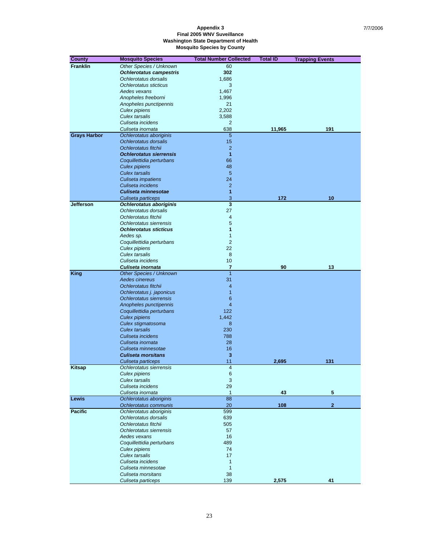| <b>County</b>       | <b>Mosquito Species</b>                                | <b>Total Number Collected</b>  | <b>Total ID</b> | <b>Trapping Events</b> |
|---------------------|--------------------------------------------------------|--------------------------------|-----------------|------------------------|
| <b>Franklin</b>     | Other Species / Unknown                                | 60                             |                 |                        |
|                     | <b>Ochlerotatus campestris</b>                         | 302                            |                 |                        |
|                     | Ochlerotatus dorsalis                                  | 1,686                          |                 |                        |
|                     | Ochlerotatus sticticus                                 | 3                              |                 |                        |
|                     | Aedes vexans                                           | 1,467                          |                 |                        |
|                     | Anopheles freeborni                                    | 1,996                          |                 |                        |
|                     | Anopheles punctipennis                                 | 21                             |                 |                        |
|                     | Culex pipiens                                          | 2,202                          |                 |                        |
|                     | <b>Culex tarsalis</b>                                  | 3,588                          |                 |                        |
|                     | Culiseta incidens                                      | 2                              |                 |                        |
|                     | Culiseta inornata                                      | 638                            | 11,965          | 191                    |
| <b>Grays Harbor</b> | Ochlerotatus aboriginis                                | 5                              |                 |                        |
|                     | Ochlerotatus dorsalis                                  | 15                             |                 |                        |
|                     | Ochlerotatus fitchii<br><b>Ochlerotatus sierrensis</b> | $\overline{2}$<br>$\mathbf{1}$ |                 |                        |
|                     |                                                        | 66                             |                 |                        |
|                     | Coquillettidia perturbans<br><b>Culex pipiens</b>      | 48                             |                 |                        |
|                     | <b>Culex tarsalis</b>                                  | 5                              |                 |                        |
|                     | Culiseta impatiens                                     | 24                             |                 |                        |
|                     | Culiseta incidens                                      | $\overline{2}$                 |                 |                        |
|                     | Culiseta minnesotae                                    | 1                              |                 |                        |
|                     | Culiseta particeps                                     | 3                              | 172             | 10                     |
| <b>Jefferson</b>    | <b>Ochlerotatus aboriginis</b>                         | $\overline{\mathbf{3}}$        |                 |                        |
|                     | Ochlerotatus dorsalis                                  | 27                             |                 |                        |
|                     | Ochlerotatus fitchii                                   | $\overline{4}$                 |                 |                        |
|                     | Ochlerotatus sierrensis                                | 5                              |                 |                        |
|                     | <b>Ochlerotatus sticticus</b>                          | 1                              |                 |                        |
|                     | Aedes sp.                                              | $\mathbf{1}$                   |                 |                        |
|                     | Coquillettidia perturbans                              | $\overline{2}$                 |                 |                        |
|                     | Culex pipiens                                          | 22                             |                 |                        |
|                     | Culex tarsalis                                         | 8                              |                 |                        |
|                     | Culiseta incidens                                      | 10                             |                 |                        |
|                     | Culiseta inornata                                      | 7                              | 90              | 13                     |
| <b>King</b>         | Other Species / Unknown                                | $\overline{1}$                 |                 |                        |
|                     | Aedes cinereus                                         | 31                             |                 |                        |
|                     | Ochlerotatus fitchii                                   | $\overline{4}$<br>$\mathbf{1}$ |                 |                        |
|                     | Ochlerotatus j. japonicus<br>Ochlerotatus sierrensis   | $6\phantom{1}6$                |                 |                        |
|                     | Anopheles punctipennis                                 | $\overline{4}$                 |                 |                        |
|                     | Coquillettidia perturbans                              | 122                            |                 |                        |
|                     | <b>Culex pipiens</b>                                   | 1,442                          |                 |                        |
|                     | Culex stigmatosoma                                     | 8                              |                 |                        |
|                     | <b>Culex tarsalis</b>                                  | 230                            |                 |                        |
|                     | Culiseta incidens                                      | 788                            |                 |                        |
|                     | Culiseta inornata                                      | 28                             |                 |                        |
|                     | Culiseta minnesotae                                    | 16                             |                 |                        |
|                     | <b>Culiseta morsitans</b>                              | 3                              |                 |                        |
|                     | Culiseta particeps                                     | 11                             | 2,695           | 131                    |
| Kitsap              | Ochlerotatus sierrensis                                | 4                              |                 |                        |
|                     | Culex pipiens                                          | $\,6\,$                        |                 |                        |
|                     | <b>Culex tarsalis</b>                                  | $\sqrt{3}$                     |                 |                        |
|                     | Culiseta incidens                                      | 29                             |                 |                        |
|                     | Culiseta inornata                                      | $\mathbf{1}$<br>88             | 43              | 5                      |
| Lewis               | Ochlerotatus aboriginis<br>Ochlerotatus communis       | 20                             | 108             | $\mathbf{2}$           |
| <b>Pacific</b>      | Ochlerotatus aboriginis                                | 599                            |                 |                        |
|                     | Ochlerotatus dorsalis                                  | 639                            |                 |                        |
|                     | Ochlerotatus fitchii                                   | 505                            |                 |                        |
|                     | Ochlerotatus sierrensis                                | 57                             |                 |                        |
|                     | Aedes vexans                                           | 16                             |                 |                        |
|                     | Coquillettidia perturbans                              | 489                            |                 |                        |
|                     | <b>Culex pipiens</b>                                   | 74                             |                 |                        |
|                     | Culex tarsalis                                         | 17                             |                 |                        |
|                     | Culiseta incidens                                      | $\mathbf{1}$                   |                 |                        |
|                     | Culiseta minnesotae                                    | $\mathbf{1}$                   |                 |                        |
|                     | Culiseta morsitans                                     | 38                             |                 |                        |
|                     | Culiseta particeps                                     | 139                            | 2,575           | 41                     |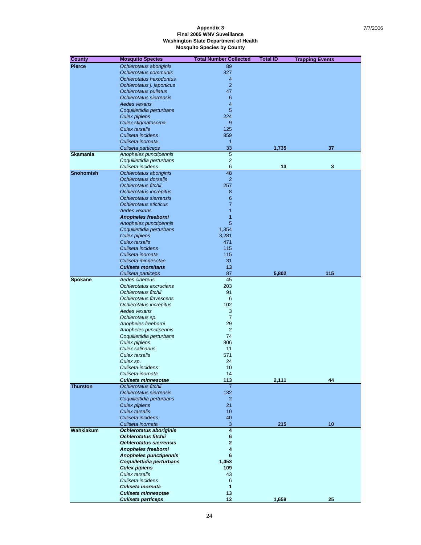| <b>County</b>    | <b>Mosquito Species</b>                             | <b>Total Number Collected</b> | <b>Total ID</b> | <b>Trapping Events</b> |
|------------------|-----------------------------------------------------|-------------------------------|-----------------|------------------------|
| <b>Pierce</b>    | Ochlerotatus aboriginis                             | 89                            |                 |                        |
|                  | Ochlerotatus communis                               | 327                           |                 |                        |
|                  | Ochlerotatus hexodontus                             | 4                             |                 |                        |
|                  | Ochlerotatus j. japonicus                           | $\overline{2}$                |                 |                        |
|                  | Ochlerotatus pullatus                               | 47                            |                 |                        |
|                  | Ochlerotatus sierrensis                             | 6                             |                 |                        |
|                  | Aedes vexans                                        | 4                             |                 |                        |
|                  | Coquillettidia perturbans                           | 5<br>224                      |                 |                        |
|                  | <b>Culex pipiens</b><br>Culex stigmatosoma          | 9                             |                 |                        |
|                  | <b>Culex tarsalis</b>                               | 125                           |                 |                        |
|                  | Culiseta incidens                                   | 859                           |                 |                        |
|                  | Culiseta inornata                                   | $\mathbf{1}$                  |                 |                        |
|                  | Culiseta particeps                                  | 33                            | 1,735           | 37                     |
| <b>Skamania</b>  | Anopheles punctipennis                              | 5                             |                 |                        |
|                  | Coquillettidia perturbans                           | $\overline{2}$                |                 |                        |
|                  | Culiseta incidens                                   | 6                             | 13              | 3                      |
| <b>Snohomish</b> | Ochlerotatus aboriginis                             | 48                            |                 |                        |
|                  | Ochlerotatus dorsalis                               | $\overline{2}$                |                 |                        |
|                  | Ochlerotatus fitchii                                | 257                           |                 |                        |
|                  | Ochlerotatus increpitus                             | 8                             |                 |                        |
|                  | Ochlerotatus sierrensis                             | 6                             |                 |                        |
|                  | Ochlerotatus sticticus                              | $\overline{7}$                |                 |                        |
|                  | Aedes vexans                                        | $\mathbf{1}$                  |                 |                        |
|                  | <b>Anopheles freeborni</b>                          | 1<br>5                        |                 |                        |
|                  | Anopheles punctipennis<br>Coquillettidia perturbans | 1,354                         |                 |                        |
|                  | <b>Culex pipiens</b>                                | 3,281                         |                 |                        |
|                  | <b>Culex tarsalis</b>                               | 471                           |                 |                        |
|                  | Culiseta incidens                                   | 115                           |                 |                        |
|                  | Culiseta inornata                                   | 115                           |                 |                        |
|                  | Culiseta minnesotae                                 | 31                            |                 |                        |
|                  | <b>Culiseta morsitans</b>                           | 13                            |                 |                        |
|                  | Culiseta particeps                                  | 87                            | 5,802           | 115                    |
| Spokane          | Aedes cinereus                                      | 45                            |                 |                        |
|                  | Ochlerotatus excrucians                             | 203                           |                 |                        |
|                  | Ochlerotatus fitchii                                | 91                            |                 |                        |
|                  | Ochlerotatus flavescens                             | 6                             |                 |                        |
|                  | Ochlerotatus increpitus                             | 102                           |                 |                        |
|                  | Aedes vexans                                        | 3                             |                 |                        |
|                  | Ochlerotatus sp.<br>Anopheles freeborni             | $\overline{7}$<br>29          |                 |                        |
|                  | Anopheles punctipennis                              | $\overline{2}$                |                 |                        |
|                  | Coquillettidia perturbans                           | 74                            |                 |                        |
|                  | Culex pipiens                                       | 806                           |                 |                        |
|                  | Culex salinarius                                    | 11                            |                 |                        |
|                  | Culex tarsalis                                      | 571                           |                 |                        |
|                  | Culex sp.                                           | 24                            |                 |                        |
|                  | Culiseta incidens                                   | 10                            |                 |                        |
|                  | Culiseta inornata                                   | 14                            |                 |                        |
|                  | Culiseta minnesotae                                 | 113                           | 2,111           | 44                     |
| <b>Thurston</b>  | Ochlerotatus fitchii                                | 7                             |                 |                        |
|                  | Ochlerotatus sierrensis                             | 132                           |                 |                        |
|                  | Coquillettidia perturbans                           | $\overline{2}$                |                 |                        |
|                  | <b>Culex pipiens</b><br><b>Culex tarsalis</b>       | 21<br>10 <sup>1</sup>         |                 |                        |
|                  | Culiseta incidens                                   | 40                            |                 |                        |
|                  | Culiseta inornata                                   | 3                             | 215             | 10                     |
| Wahkiakum        | Ochlerotatus aboriginis                             | $\overline{\mathbf{4}}$       |                 |                        |
|                  | <b>Ochlerotatus fitchii</b>                         | 6                             |                 |                        |
|                  | <b>Ochlerotatus sierrensis</b>                      | $\mathbf{2}$                  |                 |                        |
|                  | Anopheles freeborni                                 | 4                             |                 |                        |
|                  | <b>Anopheles punctipennis</b>                       | 6                             |                 |                        |
|                  | Coquillettidia perturbans                           | 1,453                         |                 |                        |
|                  | <b>Culex pipiens</b>                                | 109                           |                 |                        |
|                  | <b>Culex tarsalis</b>                               | 43                            |                 |                        |
|                  | Culiseta incidens                                   | 6                             |                 |                        |
|                  | Culiseta inornata                                   | 1                             |                 |                        |
|                  | Culiseta minnesotae                                 | 13                            |                 |                        |
|                  | <b>Culiseta particeps</b>                           | 12 <sub>2</sub>               | 1,659           | 25                     |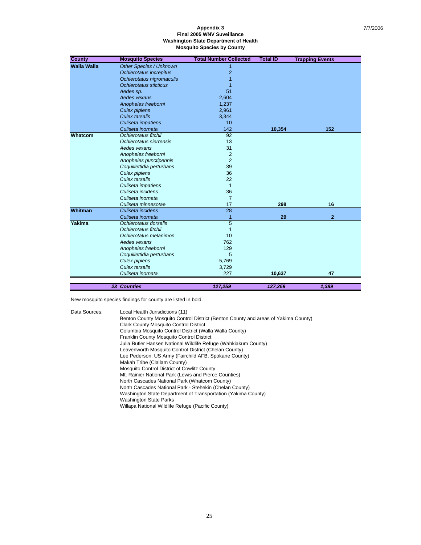| <b>County</b>      | <b>Mosquito Species</b>        | <b>Total Number Collected</b> | <b>Total ID</b> | <b>Trapping Events</b> |
|--------------------|--------------------------------|-------------------------------|-----------------|------------------------|
| <b>Walla Walla</b> | <b>Other Species / Unknown</b> | 1                             |                 |                        |
|                    | Ochlerotatus increpitus        | $\overline{2}$                |                 |                        |
|                    | Ochlerotatus nigromaculis      |                               |                 |                        |
|                    | Ochlerotatus sticticus         |                               |                 |                        |
|                    | Aedes sp.                      | 51                            |                 |                        |
|                    | Aedes vexans                   | 2,604                         |                 |                        |
|                    | Anopheles freeborni            | 1,237                         |                 |                        |
|                    | <b>Culex pipiens</b>           | 2,961                         |                 |                        |
|                    | <b>Culex tarsalis</b>          | 3,344                         |                 |                        |
|                    | Culiseta impatiens             | 10                            |                 |                        |
|                    | Culiseta inornata              | 142                           | 10,354          | 152                    |
| Whatcom            | Ochlerotatus fitchii           | 92                            |                 |                        |
|                    | Ochlerotatus sierrensis        | 13                            |                 |                        |
|                    | Aedes vexans                   | 31                            |                 |                        |
|                    | Anopheles freeborni            | $\overline{2}$                |                 |                        |
|                    | Anopheles punctipennis         | $\overline{2}$                |                 |                        |
|                    | Coquillettidia perturbans      | 39                            |                 |                        |
|                    | Culex pipiens                  | 36                            |                 |                        |
|                    | Culex tarsalis                 | 22                            |                 |                        |
|                    | Culiseta impatiens             | $\mathbf{1}$                  |                 |                        |
|                    | Culiseta incidens              | 36                            |                 |                        |
|                    | Culiseta inornata              | $\overline{7}$                |                 |                        |
|                    | Culiseta minnesotae            | 17                            | 298             | 16                     |
| Whitman            | Culiseta incidens              | 28                            |                 |                        |
|                    | Culiseta inornata              | $\overline{1}$                | 29              | $\overline{2}$         |
| Yakima             | Ochlerotatus dorsalis          | 5                             |                 |                        |
|                    | Ochlerotatus fitchii           | $\mathbf{1}$                  |                 |                        |
|                    | Ochlerotatus melanimon         | 10                            |                 |                        |
|                    | Aedes vexans                   | 762                           |                 |                        |
|                    | Anopheles freeborni            | 129                           |                 |                        |
|                    | Coquillettidia perturbans      | 5                             |                 |                        |
|                    | Culex pipiens                  | 5,769                         |                 |                        |
|                    | Culex tarsalis                 | 3,729                         |                 |                        |
|                    | Culiseta inornata              | 227                           | 10,637          | 47                     |
|                    |                                |                               |                 |                        |
|                    | <b>23 Counties</b>             | 127.259                       | 127.259         | 1.389                  |

New mosquito species findings for county are listed in bold.

Data Sources: Local Health Jurisdictions (11) Benton County Mosquito Control District (Benton County and areas of Yakima County) Clark County Mosquito Control District Columbia Mosquito Control District (Walla Walla County) Franklin County Mosquito Control District Julia Butler Hansen National Wildlife Refuge (Wahkiakum County) Leavenworth Mosquito Control District (Chelan County) Lee Pederson, US Army (Fairchild AFB, Spokane County) Makah Tribe (Clallam County) Mosquito Control District of Cowlitz County Mt. Rainier National Park (Lewis and Pierce Counties) North Cascades National Park (Whatcom County) North Cascades National Park - Stehekin (Chelan County) Washington State Department of Transportation (Yakima County) Washington State Parks Willapa National Wildlife Refuge (Pacific County)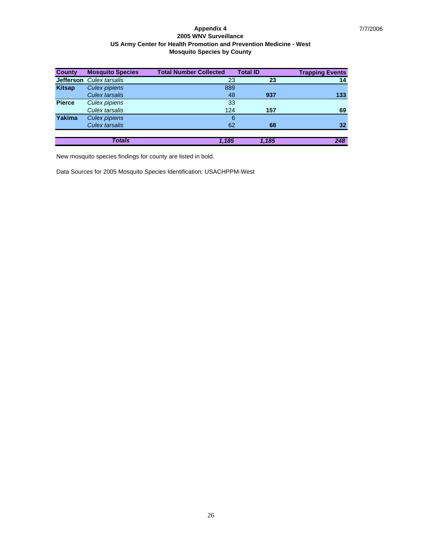| <b>County</b> | <b>Mosquito Species</b> | <b>Total Number Collected</b> | <b>Total ID</b> | <b>Trapping Events</b> |
|---------------|-------------------------|-------------------------------|-----------------|------------------------|
| Jefferson     | Culex tarsalis          | 23                            | 23              | 14                     |
| <b>Kitsap</b> | <b>Culex pipiens</b>    | 889                           |                 |                        |
|               | Culex tarsalis          | 48                            | 937             | 133                    |
| <b>Pierce</b> | Culex pipiens           | 33                            |                 |                        |
|               | Culex tarsalis          | 124                           | 157             | 69                     |
| <b>Yakima</b> | <b>Culex pipiens</b>    | 6                             |                 |                        |
|               | Culex tarsalis          | 62                            | 68              | 32                     |
|               |                         |                               |                 |                        |
|               | <b>Totals</b>           | 1.185                         | 1.185           | 248                    |

New mosquito species findings for county are listed in bold.

Data Sources for 2005 Mosquito Species Identification: USACHPPM-West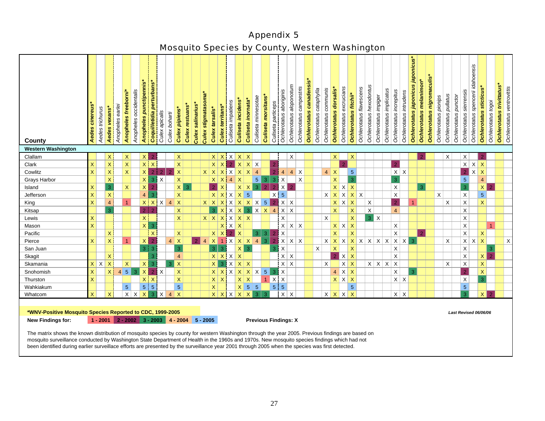# Appendix 5

# Mosquito Species by County, Western Washington

| County                                                                                                                                                                                                                               | cinereus<br>Aedes                                                                                                       | Aedes trichurus | <b>Aedes vexans</b> *                       | Anopheles earlei                      | Anopheles freeborni* | Anopheles occidentalis | <b>Anopheles punctipennis*</b> | Coquilletidia perturbans* | Culex apicalis          | Culex boharti  | Culex pipiens*   | Culex restuans* | Culex salinarius* | Culex stigmatasoma | Culex tarsalis*             | Culex territans* | Culiseta impatiens | Culiseta incidens*       | Culiseta inornata              | Culiseta minnesotae |                | Culiseta morsitans                                   | Culiseta particeps | Ochlerotatus aboriginis | Ochlerotatus aloponotum     | Ochlerotatus campestris | Ochlerotatus canadensis | Ochlerotatus cataphylla | Ochlerotatus communis | <b>Ochlerotatus dorsalis</b>  | Ochlerotatus excrucians | Ochlerotatus fitchii*   | Ochlerotatus flavescens | Ochlerotatus hexodontus | Ochlerotatus impiger | Ochlerotatus implicatus  | Ochlerotatus increpitus | Ochlerotatus intrudens | japonicus<br>Ochlerotatus japonicus | Ochlerotatus melanimon' | Ochlerotatus nigromaculis* | Ochlerotatus pionips | Ochlerotatus pullatus | Ochlerotatus punctor | Ochlerotatus sierrensis   | idahoensis<br>Ochlerotatus spencerii | Ochlerotatus sticticus* | Ochlerotatus togoi      | Ochlerotatus trivittatus* | Ochlerotatus ventrovittis |
|--------------------------------------------------------------------------------------------------------------------------------------------------------------------------------------------------------------------------------------|-------------------------------------------------------------------------------------------------------------------------|-----------------|---------------------------------------------|---------------------------------------|----------------------|------------------------|--------------------------------|---------------------------|-------------------------|----------------|------------------|-----------------|-------------------|--------------------|-----------------------------|------------------|--------------------|--------------------------|--------------------------------|---------------------|----------------|------------------------------------------------------|--------------------|-------------------------|-----------------------------|-------------------------|-------------------------|-------------------------|-----------------------|-------------------------------|-------------------------|-------------------------|-------------------------|-------------------------|----------------------|--------------------------|-------------------------|------------------------|-------------------------------------|-------------------------|----------------------------|----------------------|-----------------------|----------------------|---------------------------|--------------------------------------|-------------------------|-------------------------|---------------------------|---------------------------|
| <b>Western Washington</b>                                                                                                                                                                                                            |                                                                                                                         |                 |                                             |                                       |                      |                        |                                |                           |                         |                |                  |                 |                   |                    |                             |                  |                    |                          |                                |                     |                |                                                      |                    |                         |                             |                         |                         |                         |                       |                               |                         |                         |                         |                         |                      |                          |                         |                        |                                     |                         |                            |                      |                       |                      |                           |                                      |                         |                         |                           |                           |
| Clallam                                                                                                                                                                                                                              |                                                                                                                         |                 | $\mathsf{X}^{\scriptscriptstyle\mathsf{I}}$ |                                       | $\mathsf X$          |                        |                                | $X$ 2                     |                         |                | $\mathsf X$      |                 |                   |                    |                             |                  |                    |                          | $X$ $X$ $X$ $X$ $X$            |                     |                |                                                      |                    |                         | X                           |                         |                         |                         |                       | $\vert X \vert$               |                         | $\mathsf{X}$            |                         |                         |                      |                          |                         |                        |                                     |                         |                            |                      | X                     |                      | X                         |                                      |                         |                         |                           |                           |
| Clark                                                                                                                                                                                                                                | $\mathsf X$                                                                                                             |                 | $\mathsf X$                                 |                                       | $\mathsf X$          |                        |                                | $X$ $X$                   |                         |                | $\mathsf X$      |                 |                   |                    |                             | $x \mid x$       |                    |                          | $2$ $\times$ $\times$ $\times$ |                     |                |                                                      |                    |                         |                             |                         |                         |                         |                       |                               | $\mathcal{P}$           |                         |                         |                         |                      |                          | $\overline{2}$          |                        |                                     |                         |                            |                      |                       |                      |                           | $x \mid x \mid x$                    |                         |                         |                           |                           |
| Cowlitz                                                                                                                                                                                                                              | $\mathsf X$                                                                                                             |                 | $\mathsf{X}$                                |                                       | $\mathsf X$          |                        | x                              |                           | 2 2                     | $\overline{2}$ | $\mathsf{X}$     |                 |                   |                    | $X$ $X$ $X$ $X$ $X$ $X$ $4$ |                  |                    |                          |                                |                     |                |                                                      |                    | $\overline{4}$          | $4 \times$                  |                         |                         |                         |                       | $4 \times$                    |                         | $\overline{5}$          |                         |                         |                      |                          |                         | $x \mid x$             |                                     |                         |                            |                      |                       |                      | $\overline{2}$            |                                      | $x \mid x$              |                         |                           |                           |
| Grays Harbor                                                                                                                                                                                                                         |                                                                                                                         |                 | $\bar{X}$                                   |                                       |                      |                        | x <sup>1</sup>                 | $\bullet$                 | $\mathsf X$             |                | $\mathsf{X}$     |                 |                   |                    |                             |                  | $X \mid X \mid 4$  | $\mathsf{X}$             |                                |                     | $5 \mid 3$     |                                                      | 3                  | $\sf X$                 |                             | $\mathsf{X}$            |                         |                         |                       | $\mathsf{X}$                  |                         | $\overline{3}$          |                         |                         |                      |                          | 3                       |                        |                                     |                         |                            |                      |                       |                      | $\overline{5}$            |                                      | $\overline{4}$          |                         |                           |                           |
| Island                                                                                                                                                                                                                               | $\mathsf{X}$                                                                                                            |                 | 3                                           |                                       | $\mathsf X$          |                        | $\mathsf{X}$                   | $\overline{2}$            |                         |                | $\mathsf{x}$     | 3               |                   |                    |                             | $2 \mid X$       |                    | $\mathsf{X}$             | $\mathsf{X}$                   |                     | 3 <sup>1</sup> | $\overline{2}$                                       | $\overline{2}$     | x                       | $\overline{2}$              |                         |                         |                         |                       |                               | $X$ $X$ $X$             |                         |                         |                         |                      |                          | X                       |                        |                                     | 3                       |                            |                      |                       |                      | $\overline{3}$            |                                      | $x \mid 2$              |                         |                           |                           |
| Jefferson                                                                                                                                                                                                                            | $\mathsf X$                                                                                                             |                 | $\mathsf{X}$                                |                                       |                      |                        | $\overline{4}$                 | $\overline{3}$            |                         |                | $\mathsf X$      |                 |                   |                    |                             |                  |                    | $X$ $X$ $X$ $X$          | $5\phantom{.}$                 |                     |                |                                                      | $\times$           | $\overline{5}$          |                             |                         |                         |                         |                       |                               | $X$ $X$ $X$ $X$ $X$     |                         |                         |                         |                      |                          | $\times$                |                        |                                     |                         |                            | X                    |                       |                      | $\boldsymbol{\mathsf{X}}$ |                                      | 5 <sup>1</sup>          |                         |                           |                           |
| King                                                                                                                                                                                                                                 | $\mathsf{X}$                                                                                                            |                 | $\overline{4}$                              |                                       | 1                    |                        |                                |                           | $X$ $X$ $X$ 4           |                | $\mathbf{x}$     |                 |                   |                    | $X$ $X$ $X$ $X$ $X$ $X$ $S$ |                  |                    |                          |                                |                     |                |                                                      | 2 <sup>1</sup>     | $x \mid x$              |                             |                         |                         |                         |                       |                               | $x \mid x \mid x$       |                         |                         | $\mathsf X$             |                      |                          | $\overline{2}$          |                        |                                     |                         |                            |                      | $\mathsf X$           |                      | $\mathsf X$               |                                      | $\mathsf{X}$            |                         |                           |                           |
| Kitsap                                                                                                                                                                                                                               |                                                                                                                         |                 | 3                                           |                                       |                      |                        | $2$   2                        |                           |                         |                | $\mathsf X$      |                 |                   |                    |                             |                  |                    |                          |                                |                     |                | $3 \mid X \mid X \mid X \mid 3 \mid X \mid X \mid 4$ |                    | x                       |                             |                         |                         |                         |                       | $\mathsf X$                   |                         | $\mathsf X$             |                         | $\mathsf X$             |                      |                          | $\overline{4}$          |                        |                                     |                         |                            |                      |                       |                      | $\mathsf X$               |                                      |                         |                         |                           |                           |
| Lewis                                                                                                                                                                                                                                | $\mathsf{X}$                                                                                                            |                 |                                             |                                       |                      |                        | $\mathsf{X}$                   |                           |                         |                | $\mathsf{X}$     |                 |                   |                    | x x x x x x                 |                  |                    |                          |                                |                     |                |                                                      |                    | X                       |                             |                         |                         |                         | $\mathsf X$           |                               |                         | $\overline{\mathsf{X}}$ |                         | 3x                      |                      |                          |                         |                        |                                     |                         |                            |                      |                       |                      | $\mathsf X$               |                                      |                         |                         |                           |                           |
| Mason                                                                                                                                                                                                                                | X.                                                                                                                      |                 |                                             |                                       |                      |                        |                                | $X \mid 3$                |                         |                |                  |                 |                   |                    |                             |                  |                    | $X$ $X$ $X$              |                                |                     |                |                                                      |                    |                         | $X$ $X$ $X$                 |                         |                         |                         |                       |                               | $X$ $X$ $X$             |                         |                         |                         |                      |                          | X                       |                        |                                     |                         |                            |                      |                       |                      | $\mathsf X$               |                                      |                         |                         |                           |                           |
| Pacific                                                                                                                                                                                                                              |                                                                                                                         |                 | $\mathsf{X}$                                |                                       |                      |                        |                                | $\bar{\mathsf{X}}$        |                         |                | $\mathsf{X}$     |                 |                   |                    |                             | $X$ $X$          |                    | $2 \times$               |                                |                     | 3              | 3 <sup>°</sup>                                       | $\overline{2}$     | X                       |                             |                         |                         |                         |                       | $\mathsf{X}$                  |                         | $\mathsf X$             |                         |                         |                      |                          | X                       |                        |                                     | $\overline{2}$          |                            |                      |                       |                      | $\mathsf{X}$              |                                      | $\mathsf{X}$            |                         |                           |                           |
| Pierce                                                                                                                                                                                                                               | $\mathsf{X}$                                                                                                            |                 | $\mathsf{X}^+$                              |                                       | $\overline{1}$       |                        |                                | x 2                       |                         |                | $4 \mid X$       |                 | $\overline{2}$    | $\overline{4}$     | x 1 x x x                   |                  |                    |                          |                                |                     |                |                                                      | $\overline{2}$     |                         | $x \mid x \mid x$           |                         |                         |                         |                       |                               |                         |                         |                         |                         |                      |                          |                         |                        |                                     |                         |                            |                      | $\mathsf X$           |                      |                           | $x \mid x \mid x$                    |                         |                         |                           | $\mathsf X$               |
| San Juan                                                                                                                                                                                                                             |                                                                                                                         |                 |                                             |                                       |                      |                        |                                | 3 3                       |                         |                | 3                |                 |                   |                    | 3 <sup>1</sup>              | $\overline{3}$   |                    |                          | $X \mid 3$                     |                     |                |                                                      | 3                  | $\mathsf{X}$            |                             |                         |                         | $\mathsf X$             |                       | $\mathsf X$                   |                         | $\mathsf X$             |                         |                         |                      |                          | X                       |                        |                                     |                         |                            |                      |                       |                      | $\mathsf X$               |                                      |                         | $\overline{\mathbf{3}}$ |                           |                           |
| Skagit                                                                                                                                                                                                                               |                                                                                                                         |                 | $\mathsf{X}$                                |                                       |                      |                        |                                | 3                         |                         |                | $\overline{4}$   |                 |                   |                    |                             |                  |                    | $x \mid x \mid x \mid x$ |                                |                     |                |                                                      |                    | $x \mid x$              |                             |                         |                         |                         |                       | $\overline{2}$ $\overline{1}$ | $X$ $X$                 |                         |                         |                         |                      |                          | $\mathsf X$             |                        |                                     |                         |                            |                      |                       |                      | $\mathsf X$               |                                      | $\vert x \vert$         | $\overline{2}$          |                           |                           |
| Skamania                                                                                                                                                                                                                             |                                                                                                                         | $x \mid x$      | $\mathsf X$                                 |                                       | $\mathsf X$          |                        | X                              | 3                         |                         | 3 <sup>1</sup> | $\mathsf{X}$     |                 |                   |                    |                             | x 3              |                    |                          | $x \mid x \mid x$              |                     |                |                                                      |                    | $x \mid x$              |                             |                         |                         |                         | X                     |                               | $x \mid x$              |                         |                         |                         |                      | $x \mid x \mid x \mid x$ |                         |                        |                                     |                         |                            |                      | X                     |                      | $\mathsf X$               |                                      | $\bar{\mathsf{X}}$      |                         |                           |                           |
| Snohomish                                                                                                                                                                                                                            | X.                                                                                                                      |                 | $\times$                                    | $\vert 4 \vert$                       | $5\phantom{.0}$      | 3                      | $\mathsf X$                    | $\overline{2}$            | $\mathsf X$             |                | $\mathsf X$      |                 |                   |                    |                             |                  |                    |                          | $X$ $X$ $X$ $X$ $X$ $X$        |                     |                | $5\phantom{.0}$                                      | 3                  | $\mathsf X$             |                             |                         |                         |                         |                       |                               | $4 \times X$            |                         |                         |                         |                      |                          | X                       |                        | 3                                   |                         |                            |                      |                       |                      | $\overline{2}$            |                                      | $\mathsf{X}$            |                         |                           |                           |
| Thurston                                                                                                                                                                                                                             | X.                                                                                                                      |                 |                                             |                                       |                      |                        | x <sub>1</sub>                 | $\mathsf{X}$              |                         |                | $\mathsf X$      |                 |                   |                    | $x \mid x$                  |                  |                    |                          | $x \mid x$                     |                     |                | $1$ $X$ $X$                                          |                    |                         |                             |                         |                         |                         |                       |                               | $X$ $X$ $X$             |                         |                         |                         |                      |                          |                         | $x \mid x$             |                                     |                         |                            |                      |                       |                      | $\mathsf X$               |                                      | $\overline{3}$          |                         |                           |                           |
| Wahkiakum                                                                                                                                                                                                                            |                                                                                                                         |                 |                                             |                                       | $\overline{5}$       |                        | 5 <sup>1</sup>                 | $\sqrt{5}$                |                         |                | 5 <sup>1</sup>   |                 |                   |                    | $\bar{X}$                   |                  |                    |                          | $X \mid 5 \mid 5$              |                     |                |                                                      | 5 <sup>1</sup>     | $\overline{5}$          |                             |                         |                         |                         |                       |                               |                         | $\overline{5}$          |                         |                         |                      |                          |                         |                        |                                     |                         |                            |                      |                       |                      | $\overline{5}$            |                                      |                         |                         |                           |                           |
| Whatcom                                                                                                                                                                                                                              | X.                                                                                                                      |                 | $\mathsf{X}$                                |                                       |                      | $x \mid x$             | $\boldsymbol{\mathsf{X}}$      | $\overline{3}$            | $\overline{\mathsf{X}}$ |                | $4 \overline{)}$ |                 |                   |                    |                             |                  |                    |                          | $X$ $X$ $X$ $X$ $X$            |                     | 3 <sup>1</sup> | $\overline{3}$                                       |                    | $x \mid x$              |                             |                         |                         |                         |                       |                               | $X$ $X$ $X$ $X$         |                         |                         |                         |                      |                          |                         | $x \mid x$             |                                     |                         |                            |                      |                       |                      | $\overline{3}$            |                                      | $\vert x \vert$         | $\overline{2}$          |                           |                           |
| *WNV-Positive Mosquito Species Reported to CDC, 1999-2005<br>New Findings for:<br>The matrix shows the known distribution of mosquito species by county for western Washington through the year 2005. Previous findings are based on |                                                                                                                         |                 |                                             | $1 - 2001$ 2 - 2002 3 - 2003 4 - 2004 |                      |                        |                                |                           |                         |                |                  |                 |                   | $5 - 2005$         |                             |                  |                    |                          |                                |                     |                |                                                      |                    |                         | <b>Previous Findings: X</b> |                         |                         |                         |                       |                               |                         |                         |                         |                         |                      |                          |                         |                        |                                     |                         |                            |                      |                       |                      |                           |                                      | Last Revised 06/06/06   |                         |                           |                           |
|                                                                                                                                                                                                                                      | adjusted by Washington, Otate Department of Health in the 1000s and 1070s. Now measurite appealed findings which had no |                 |                                             |                                       |                      |                        |                                |                           |                         |                |                  |                 |                   |                    |                             |                  |                    |                          |                                |                     |                |                                                      |                    |                         |                             |                         |                         |                         |                       |                               |                         |                         |                         |                         |                      |                          |                         |                        |                                     |                         |                            |                      |                       |                      |                           |                                      |                         |                         |                           |                           |

 mosquito surveillance conducted by Washington State Department of Health in the 1960s and 1970s. New mosquito species findings which had not been identified during earlier surveillace efforts are presented by the surveillance year 2001 through 2005 when the species was first detected.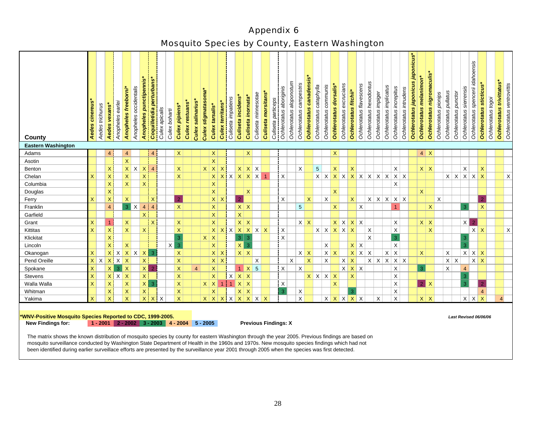# Appendix 6 Mosquito Species by County, Eastern Washington

| County                                                                                                                                                                         | cinereus<br>Aedes                                                                                                                                                                           | Aedes trichurus | Aedes vexans              | Anopheles earler | Anopheles freeborni*      | Anopheles occidentalis | Anopheles punctipennis* | Coquilletidia perturbans  | Culex apicalis | Culex boharti | <b>Culex pipiens*</b> | <b>Culex restuans*</b> | Culex salinarius | stigmatasoma*<br><b>Culex</b> | Culex tarsalis*           | <b>Culex territans</b>    | Culiseta impatiens | Culiseta incidens  | Culiseta inornata | Culiseta minnesotae | Culiseta morsitans | Culiseta particeps | Ochlerotatus aboriginis | Ochlerotatus aloponotum | Ochlerotatus campestris | Ochlerotatus canadensis* | Ochlerotatus cataphylla | Ochlerotatus communis    | Ochlerotatus dorsalis | Ochlerotatus excrucians                     | Ochlerotatus fitchii* | Ochlerotatus flavescens | Ochlerotatus hexodontus | Ochlerotatus impiger | Ochlerotatus implicatus         | Ochlerotatus increpitus | Ochlerotatus intrudens | Ochlerotatus japonicus japonicus | Ochlerotatus melanimon' | Ochlerotatus nigromaculis* | Ochlerotatus pionips | Ochlerotatus pullatus | Ochlerotatus punctor | Ochlerotatus sierrensis | idahoensis<br>Ochlerotatus spencerii | sticticus*<br><b>Ochlerotatus</b> | Ochlerotatus togoi | <b>Ochlerotatus trivittatus</b> | Ochlerotatus ventrovittis |
|--------------------------------------------------------------------------------------------------------------------------------------------------------------------------------|---------------------------------------------------------------------------------------------------------------------------------------------------------------------------------------------|-----------------|---------------------------|------------------|---------------------------|------------------------|-------------------------|---------------------------|----------------|---------------|-----------------------|------------------------|------------------|-------------------------------|---------------------------|---------------------------|--------------------|--------------------|-------------------|---------------------|--------------------|--------------------|-------------------------|-------------------------|-------------------------|--------------------------|-------------------------|--------------------------|-----------------------|---------------------------------------------|-----------------------|-------------------------|-------------------------|----------------------|---------------------------------|-------------------------|------------------------|----------------------------------|-------------------------|----------------------------|----------------------|-----------------------|----------------------|-------------------------|--------------------------------------|-----------------------------------|--------------------|---------------------------------|---------------------------|
| <b>Eastern Washington</b><br>Adams                                                                                                                                             |                                                                                                                                                                                             |                 | $\overline{4}$            |                  | $\overline{4}$            |                        |                         | $\overline{4}$            |                |               | $\mathsf{X}$          |                        |                  |                               | $\mathsf X$               |                           |                    |                    | $\mathsf{X}$      |                     |                    |                    |                         |                         |                         |                          |                         |                          | $\mathsf{X}$          |                                             |                       |                         |                         |                      |                                 |                         |                        |                                  |                         | $4 \mid X$                 |                      |                       |                      |                         |                                      |                                   |                    |                                 |                           |
| Asotin                                                                                                                                                                         |                                                                                                                                                                                             |                 |                           |                  | $\overline{\mathsf{X}}$   |                        |                         |                           |                |               |                       |                        |                  |                               | $\mathsf X$               |                           |                    |                    |                   |                     |                    |                    |                         |                         |                         |                          |                         |                          |                       |                                             |                       |                         |                         |                      |                                 |                         |                        |                                  |                         |                            |                      |                       |                      |                         |                                      |                                   |                    |                                 |                           |
| Benton                                                                                                                                                                         |                                                                                                                                                                                             |                 | X                         |                  |                           | $X$ $X$                | $\mathsf{X}$            | $\overline{4}$            |                |               | $\mathsf X$           |                        |                  | $x \mid x$                    |                           | $\boldsymbol{\mathsf{X}}$ |                    |                    | $X$ $X$ $X$       |                     |                    |                    |                         |                         | $\times$                |                          | 5                       |                          | $\mathsf X$           |                                             | $\mathsf{X}$          |                         |                         |                      |                                 | X                       |                        |                                  |                         | $X$ $X$                    |                      |                       |                      | X                       |                                      | $\mathsf{X}$                      |                    |                                 |                           |
| Chelan                                                                                                                                                                         | X                                                                                                                                                                                           |                 | X                         |                  | $\boldsymbol{\mathsf{X}}$ |                        | $\mathsf{X}$            |                           |                |               | $\mathsf{X}$          |                        |                  |                               | $X$ $X$ $X$ $X$ $X$ $X$ 1 |                           |                    |                    |                   |                     |                    |                    | X                       |                         |                         |                          |                         |                          |                       | $x   x   x   x   x   x   x   x   x   x   x$ |                       |                         |                         |                      |                                 |                         |                        |                                  |                         |                            |                      |                       |                      |                         | $x \mid x \mid x \mid x \mid x$      |                                   |                    |                                 | X                         |
| Columbia                                                                                                                                                                       |                                                                                                                                                                                             |                 | $\mathsf{X}$              |                  | $\overline{\mathsf{x}}$   |                        | $\mathsf{X}$            |                           |                |               |                       |                        |                  |                               | $\mathsf X$               |                           |                    |                    |                   |                     |                    |                    |                         |                         |                         |                          |                         |                          |                       |                                             |                       |                         |                         |                      |                                 | X                       |                        |                                  |                         |                            |                      |                       |                      |                         |                                      |                                   |                    |                                 |                           |
| Douglas                                                                                                                                                                        |                                                                                                                                                                                             |                 | $\mathsf{X}$              |                  |                           |                        |                         |                           |                |               |                       |                        |                  |                               | $\mathsf{X}$              |                           |                    |                    | $\mathsf{X}$      |                     |                    |                    |                         |                         |                         |                          |                         |                          | $\mathsf{X}$          |                                             |                       |                         |                         |                      |                                 |                         |                        |                                  | $\mathsf{X}$            |                            |                      |                       |                      |                         |                                      |                                   |                    |                                 |                           |
| Ferry                                                                                                                                                                          | X.                                                                                                                                                                                          |                 | $\mathsf{X}$              |                  | $\mathsf X$               |                        |                         | $\boldsymbol{\mathsf{X}}$ |                |               | $\overline{2}$        |                        |                  |                               | $x \mid x$                |                           |                    | $\overline{2}$     |                   |                     |                    |                    | $\mathsf X$             |                         |                         | X                        |                         | X                        |                       |                                             | $\mathsf{x}$          |                         |                         |                      | $x \mid x \mid x \mid x \mid x$ |                         |                        |                                  |                         |                            | $\mathsf{X}$         |                       |                      |                         |                                      | $\overline{2}$                    |                    |                                 |                           |
| Franklin                                                                                                                                                                       |                                                                                                                                                                                             |                 | $\overline{4}$            |                  |                           | $3 \mid X$             | $\overline{4}$          | $\overline{4}$            |                |               | $\mathsf{X}$          |                        |                  |                               | $\mathsf X$               |                           |                    | $x \mid x$         |                   |                     |                    |                    |                         |                         | 5                       |                          |                         |                          | $\mathsf{X}$          |                                             |                       | $\mathsf X$             |                         |                      |                                 |                         |                        |                                  |                         | $\mathsf X$                |                      |                       |                      | 3                       |                                      | $\mathsf{X}$                      |                    |                                 |                           |
| Garfield                                                                                                                                                                       |                                                                                                                                                                                             |                 |                           |                  |                           |                        | $\times$                |                           |                |               |                       |                        |                  |                               | $\mathsf X$               |                           |                    | $\bar{\mathsf{X}}$ |                   |                     |                    |                    |                         |                         |                         |                          |                         |                          |                       |                                             |                       |                         |                         |                      |                                 |                         |                        |                                  |                         |                            |                      |                       |                      |                         |                                      |                                   |                    |                                 |                           |
| Grant                                                                                                                                                                          | $\mathsf{X}$                                                                                                                                                                                |                 |                           |                  | $\mathsf{X}$              |                        |                         | $\boldsymbol{\mathsf{X}}$ |                |               | $\mathsf{X}$          |                        |                  |                               | $\mathsf X$               |                           |                    |                    | $x \mid x$        |                     |                    |                    |                         |                         | $X$ $X$                 |                          |                         |                          |                       | $X$ $X$ $X$ $X$                             |                       |                         |                         |                      |                                 | X                       |                        |                                  |                         | $x \mid x$                 |                      |                       |                      |                         | $X \mid 2$                           |                                   |                    |                                 |                           |
| Kittitas                                                                                                                                                                       | $\mathsf{X}$                                                                                                                                                                                |                 | X                         |                  | $\boldsymbol{\mathsf{X}}$ |                        | X                       |                           |                |               | $\mathsf{X}$          |                        |                  |                               | x   x                     |                           |                    |                    | $X$ $X$ $X$ $X$   |                     |                    |                    | X                       |                         |                         |                          |                         |                          |                       | $x \mid x \mid x \mid x \mid x$             |                       |                         | X                       |                      |                                 | X                       |                        |                                  |                         | $\mathsf{X}$               |                      |                       |                      |                         | $X$ $X$                              |                                   |                    |                                 | X                         |
| Klickitat                                                                                                                                                                      |                                                                                                                                                                                             |                 | $\boldsymbol{\mathsf{X}}$ |                  |                           |                        |                         |                           |                |               | 3                     |                        |                  | $x \mid x$                    |                           |                           |                    | $3 \mid 3$         |                   |                     |                    |                    | $\mathsf X$             |                         |                         |                          |                         |                          |                       |                                             |                       |                         | X                       |                      |                                 | $\overline{3}$          |                        |                                  |                         |                            |                      |                       |                      | 3                       |                                      |                                   |                    |                                 |                           |
| Lincoln                                                                                                                                                                        |                                                                                                                                                                                             |                 | $\overline{\mathsf{X}}$   |                  | $\overline{\mathsf{x}}$   |                        |                         |                           |                | $x \mid 3$    |                       |                        |                  |                               | $\mathsf X$               |                           |                    | x                  | $\overline{3}$    |                     |                    |                    |                         |                         |                         |                          |                         | X                        |                       |                                             | $x \mid x$            |                         |                         |                      |                                 | X                       |                        |                                  |                         |                            |                      |                       |                      | $\overline{3}$          |                                      |                                   |                    |                                 |                           |
| Okanogan                                                                                                                                                                       | X                                                                                                                                                                                           |                 |                           |                  |                           |                        | $X$ $X$ $X$ $X$ $X$ $3$ |                           |                |               | $\mathsf{X}$          |                        |                  |                               | $x \mid x$                |                           |                    |                    | $x \mid x$        |                     |                    |                    |                         |                         | $X$ $X$                 |                          |                         |                          | $X \mid X$            |                                             |                       | $x \mid x$              | $\mathsf X$             |                      |                                 | $x \mid x$              |                        |                                  | $\mathsf{X}$            |                            |                      | $\mathsf X$           |                      |                         | $X$ $X$ $X$                          |                                   |                    |                                 |                           |
| Pend Oreille                                                                                                                                                                   |                                                                                                                                                                                             | $x \mid x$      |                           | $x \times x$     |                           |                        | $\mathsf{X}$            |                           |                |               | $\mathsf{X}$          |                        |                  |                               | $x \mid x$                |                           |                    |                    |                   | X                   |                    |                    |                         | X                       |                         | $\mathsf{X}$             |                         | X                        |                       | $X$ $X$                                     |                       |                         |                         |                      | $x \mid x \mid x \mid x \mid x$ |                         |                        |                                  |                         |                            |                      |                       | $x \mid x$           |                         | $X$ $X$                              |                                   |                    |                                 |                           |
| Spokane                                                                                                                                                                        | X                                                                                                                                                                                           |                 | $\mathsf X$               |                  | $3 \mid X$                |                        |                         | $\mathsf{X}$   2          |                |               | $\mathsf{X}$          |                        | 4 <sup>1</sup>   |                               | $\mathsf{X}$              |                           |                    |                    | $1 \mid X \mid 5$ |                     |                    |                    | X                       |                         | $\mathsf{X}$            |                          |                         |                          |                       | $x \mid x \mid x$                           |                       |                         |                         |                      |                                 | X                       |                        |                                  | 3                       |                            |                      | X                     |                      | $\overline{4}$          |                                      |                                   |                    |                                 |                           |
| Stevens                                                                                                                                                                        | X                                                                                                                                                                                           |                 | X                         | $X$ $X$          |                           |                        | $\mathsf{X}^-$          |                           |                |               | $\mathsf{X}$          |                        |                  |                               | $\mathsf X$               |                           |                    | $X$ $X$ $X$        |                   |                     |                    |                    |                         |                         |                         |                          |                         | $x \mid x \mid x \mid x$ |                       |                                             | $\mathsf{X}$          |                         |                         |                      |                                 | X                       |                        |                                  |                         |                            |                      |                       |                      | 3                       |                                      |                                   |                    |                                 |                           |
| Walla Walla                                                                                                                                                                    | X                                                                                                                                                                                           |                 | X                         |                  | $\boldsymbol{\mathsf{X}}$ |                        |                         | $X \mid 3$                |                |               | $\mathsf{X}$          |                        |                  |                               | $X \mid X \mid 1$         |                           |                    | $1 \mid X \mid X$  |                   |                     |                    |                    | $\mathsf X$             |                         |                         |                          |                         |                          | $\mathsf{X}$          |                                             |                       |                         |                         |                      |                                 | X                       |                        |                                  |                         | $2$ X                      |                      |                       |                      | 3                       |                                      | $\overline{2}$                    |                    |                                 |                           |
| Whitman                                                                                                                                                                        |                                                                                                                                                                                             |                 | X                         |                  | $\boldsymbol{\mathsf{X}}$ |                        | X                       |                           |                |               | $\mathsf X$           |                        |                  |                               | $\mathsf X$               |                           |                    |                    | $x \mid x$        |                     |                    |                    | $\overline{3}$          |                         | $\mathsf X$             |                          |                         |                          |                       |                                             | 3                     |                         |                         |                      |                                 | X                       |                        |                                  |                         |                            |                      |                       |                      |                         |                                      | $\overline{4}$                    |                    |                                 |                           |
| Yakima                                                                                                                                                                         | $\mathsf{X}$                                                                                                                                                                                |                 | $\overline{\mathsf{x}}$   |                  | $\boldsymbol{\mathsf{X}}$ |                        |                         | $X$ $X$                   | $\times$       |               | $\mathsf{X}$          |                        |                  | $x \mid x \mid x$             |                           |                           |                    |                    |                   |                     |                    |                    |                         |                         | $\mathsf{X}$            |                          |                         |                          |                       | $X$ $X$ $X$ $X$ $X$                         |                       |                         |                         | $\times$             |                                 | X                       |                        |                                  |                         | $x \mid x$                 |                      |                       |                      |                         | $X$ $X$ $X$                          |                                   |                    | $\overline{4}$                  |                           |
| <b>New Findings for:</b><br>The matrix shows the known distribution of mosquito species by county for eastern Washington through the year 2005. Previous findings are based on | $X$ $X$ $X$ $X$<br>WNV-Positive Mosquito Species Reported to CDC, 1999-2005.<br>Last Revised 06/06/06<br>$1 - 2001$ 2 - 2002 3 - 2003 4 - 2004<br>$5 - 2005$<br><b>Previous Findings: X</b> |                 |                           |                  |                           |                        |                         |                           |                |               |                       |                        |                  |                               |                           |                           |                    |                    |                   |                     |                    |                    |                         |                         |                         |                          |                         |                          |                       |                                             |                       |                         |                         |                      |                                 |                         |                        |                                  |                         |                            |                      |                       |                      |                         |                                      |                                   |                    |                                 |                           |

mosquito species by county for eastern Washington through the year 2005. Previous findings are based on mosquito surveillance conducted by Washington State Department of Health in the 1960s and 1970s. New mosquito species findings which had not been identified during earlier surveillace efforts are presented by the surveillance year 2001 through 2005 when the species was first detected.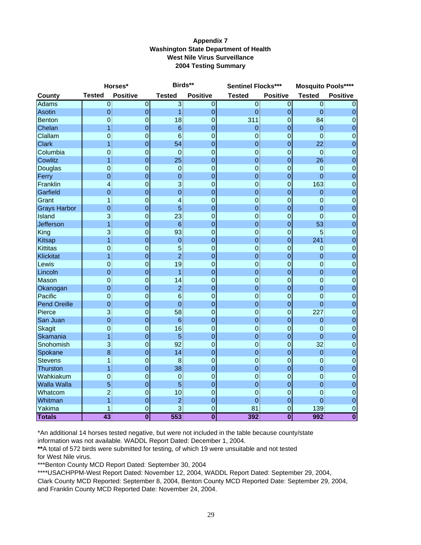#### **Appendix 7 Washington State Department of Health West Nile Virus Surveillance 2004 Testing Summary**

|                     |                  | Horses*                 | Birds**         |                         | Sentinel Flocks*** |                 | <b>Mosquito Pools****</b> |                         |
|---------------------|------------------|-------------------------|-----------------|-------------------------|--------------------|-----------------|---------------------------|-------------------------|
| <b>County</b>       | <b>Tested</b>    | <b>Positive</b>         | <b>Tested</b>   | <b>Positive</b>         | <b>Tested</b>      | <b>Positive</b> | <b>Tested</b>             | <b>Positive</b>         |
| <b>Adams</b>        | $\overline{0}$   | $\overline{0}$          | $\overline{3}$  | $\overline{0}$          | $\overline{0}$     | $\overline{0}$  | $\overline{0}$            | $\Omega$                |
| Asotin              | $\mathbf 0$      | $\mathbf 0$             | 1               | 0                       | $\mathbf 0$        | $\mathbf 0$     | $\mathbf 0$               | $\mathbf 0$             |
| <b>Benton</b>       | 0                | $\overline{0}$          | 18              | $\mathbf 0$             | 311                | $\mathbf 0$     | 84                        | $\overline{0}$          |
| Chelan              | 1                | $\mathbf 0$             | $6\phantom{1}6$ | 0                       | $\mathbf 0$        | 0               | $\mathbf 0$               | $\boldsymbol{0}$        |
| Clallam             | $\mathbf 0$      | $\mathbf 0$             | $6\phantom{1}6$ | 0                       | $\mathbf 0$        | 0               | $\mathbf 0$               | $\mathbf 0$             |
| <b>Clark</b>        | 1                | $\mathbf{0}$            | 54              | $\overline{0}$          | $\overline{0}$     | $\overline{0}$  | 22                        | $\mathbf 0$             |
| Columbia            | $\overline{0}$   | $\overline{0}$          | $\overline{0}$  | 0                       | $\mathbf 0$        | $\mathbf 0$     | 0                         | $\overline{0}$          |
| <b>Cowlitz</b>      | 1                | $\mathbf 0$             | 25              | $\overline{0}$          | $\mathbf 0$        | $\mathbf 0$     | 26                        | $\pmb{0}$               |
| Douglas             | $\overline{0}$   | $\mathbf 0$             | $\mathbf 0$     | 0                       | $\mathbf 0$        | 0               | $\mathbf 0$               | $\pmb{0}$               |
| Ferry               | $\overline{0}$   | $\overline{0}$          | $\overline{0}$  | $\overline{0}$          | $\overline{0}$     | $\overline{0}$  | $\overline{0}$            | $\mathbf 0$             |
| Franklin            | 4                | $\overline{0}$          | 3               | 0                       | $\mathbf 0$        | $\overline{0}$  | 163                       | $\mathbf 0$             |
| Garfield            | $\overline{0}$   | $\mathbf 0$             | $\overline{0}$  | $\overline{0}$          | $\mathbf 0$        | 0               | $\mathbf 0$               | $\mathbf 0$             |
| Grant               | 1                | $\mathbf 0$             | $\overline{a}$  | 0                       | $\mathbf 0$        | 0               | $\mathbf 0$               | $\boldsymbol{0}$        |
| <b>Grays Harbor</b> | $\overline{0}$   | $\overline{0}$          | 5               | 0                       | $\overline{0}$     | $\overline{0}$  | 0                         | $\mathbf 0$             |
| Island              | 3                | $\overline{0}$          | 23              | 0                       | 0                  | $\overline{0}$  | $\overline{0}$            | $\mathbf 0$             |
| <b>Jefferson</b>    | 1                | $\overline{0}$          | $6\phantom{1}6$ | $\overline{0}$          | $\mathbf 0$        | $\overline{0}$  | 53                        | $\mathbf 0$             |
| King                | 3                | $\mathbf 0$             | 93              | 0                       | $\mathbf 0$        | 0               | 5                         | $\pmb{0}$               |
| Kitsap              | $\overline{1}$   | $\overline{0}$          | $\overline{0}$  | 0                       | $\overline{0}$     | $\overline{0}$  | 241                       | $\mathbf 0$             |
| <b>Kittitas</b>     | $\overline{0}$   | $\mathbf 0$             | 5               | $\overline{0}$          | 0                  | $\mathbf 0$     | $\mathbf 0$               | $\mathbf 0$             |
| <b>Klickitat</b>    | 1                | $\overline{0}$          | $\overline{2}$  | $\overline{0}$          | $\overline{0}$     | $\overline{0}$  | 0                         | $\mathbf 0$             |
| Lewis               | $\boldsymbol{0}$ | $\mathbf 0$             | 19              | 0                       | $\mathbf 0$        | $\mathbf 0$     | $\mathbf 0$               | $\boldsymbol{0}$        |
| Lincoln             | $\overline{0}$   | $\overline{0}$          | 1               | $\overline{0}$          | $\overline{0}$     | $\overline{0}$  | $\overline{0}$            | $\mathbf 0$             |
| Mason               | $\overline{0}$   | $\mathbf 0$             | 14              | 0                       | 0                  | $\overline{0}$  | $\mathbf 0$               | $\mathbf 0$             |
| Okanogan            | $\overline{0}$   | $\overline{0}$          | $\overline{2}$  | $\overline{0}$          | 0                  | $\overline{0}$  | 0                         | $\mathbf 0$             |
| Pacific             | 0                | $\mathbf 0$             | $6\phantom{1}6$ | $\overline{0}$          | $\mathbf 0$        | $\overline{0}$  | $\mathbf 0$               | $\mathbf 0$             |
| <b>Pend Oreille</b> | $\overline{0}$   | $\mathbf 0$             | $\overline{0}$  | 0                       | $\overline{0}$     | 0               | 0                         | $\mathbf 0$             |
| Pierce              | 3                | $\mathbf 0$             | 58              | 0                       | $\mathbf 0$        | $\mathbf 0$     | 227                       | $\mathbf 0$             |
| San Juan            | $\overline{0}$   | $\mathbf 0$             | $6\phantom{1}6$ | 0                       | 0                  | $\mathbf 0$     | 0                         | $\mathbf 0$             |
| <b>Skagit</b>       | 0                | $\mathbf 0$             | 16              | $\overline{0}$          | $\overline{0}$     | $\overline{0}$  | $\mathbf 0$               | $\overline{0}$          |
| Skamania            | 1                | $\mathbf 0$             | $\overline{5}$  | $\overline{0}$          | $\mathbf 0$        | $\mathbf 0$     | $\pmb{0}$                 | $\mathbf 0$             |
| Snohomish           | 3                | $\mathbf 0$             | 92              | 0                       | 0                  | $\overline{0}$  | 32                        | $\mathbf 0$             |
| Spokane             | 8                | $\mathbf 0$             | 14              | $\overline{0}$          | 0                  | $\mathbf 0$     | $\mathbf 0$               | $\mathbf 0$             |
| <b>Stevens</b>      | 1                | $\overline{0}$          | 8               | 0                       | $\overline{0}$     | $\overline{0}$  | $\overline{0}$            | $\overline{0}$          |
| Thurston            | 1                | $\mathbf 0$             | 38              | $\overline{0}$          | $\mathbf 0$        | $\mathbf 0$     | $\mathbf 0$               | $\mathbf 0$             |
| Wahkiakum           | 0                | $\mathbf 0$             | $\mathbf 0$     | 0                       | $\mathbf 0$        | 0               | $\mathbf 0$               | $\mathbf 0$             |
| <b>Walla Walla</b>  | 5                | $\mathbf 0$             | 5               | 0                       | $\overline{0}$     | 0               | $\mathbf 0$               | $\mathbf 0$             |
| Whatcom             | $\overline{c}$   | $\overline{0}$          | 10              | 0                       | $\overline{0}$     | 0               | $\overline{0}$            | $\overline{0}$          |
| Whitman             | $\overline{1}$   | $\mathbf 0$             | $\overline{2}$  | $\overline{0}$          | $\mathbf 0$        | $\mathbf 0$     | $\mathbf 0$               | $\mathbf 0$             |
| Yakima              | 1                | $\mathbf 0$             | 3               | 0                       | 81                 | 0               | 139                       | $\mathbf 0$             |
| <b>Totals</b>       | $\overline{43}$  | $\overline{\mathbf{0}}$ | 553             | $\overline{\mathbf{0}}$ | 392                | $\bf{0}$        | 992                       | $\overline{\mathbf{0}}$ |

\*An additional 14 horses tested negative, but were not included in the table because county/state

information was not available. WADDL Report Dated: December 1, 2004.

**\*\***A total of 572 birds were submitted for testing, of which 19 were unsuitable and not tested

for West Nile virus.

\*\*\*Benton County MCD Report Dated: September 30, 2004

\*\*\*\*USACHPPM-West Report Dated: November 12, 2004, WADDL Report Dated: September 29, 2004, Clark County MCD Reported: September 8, 2004, Benton County MCD Reported Date: September 29, 2004, and Franklin County MCD Reported Date: November 24, 2004.